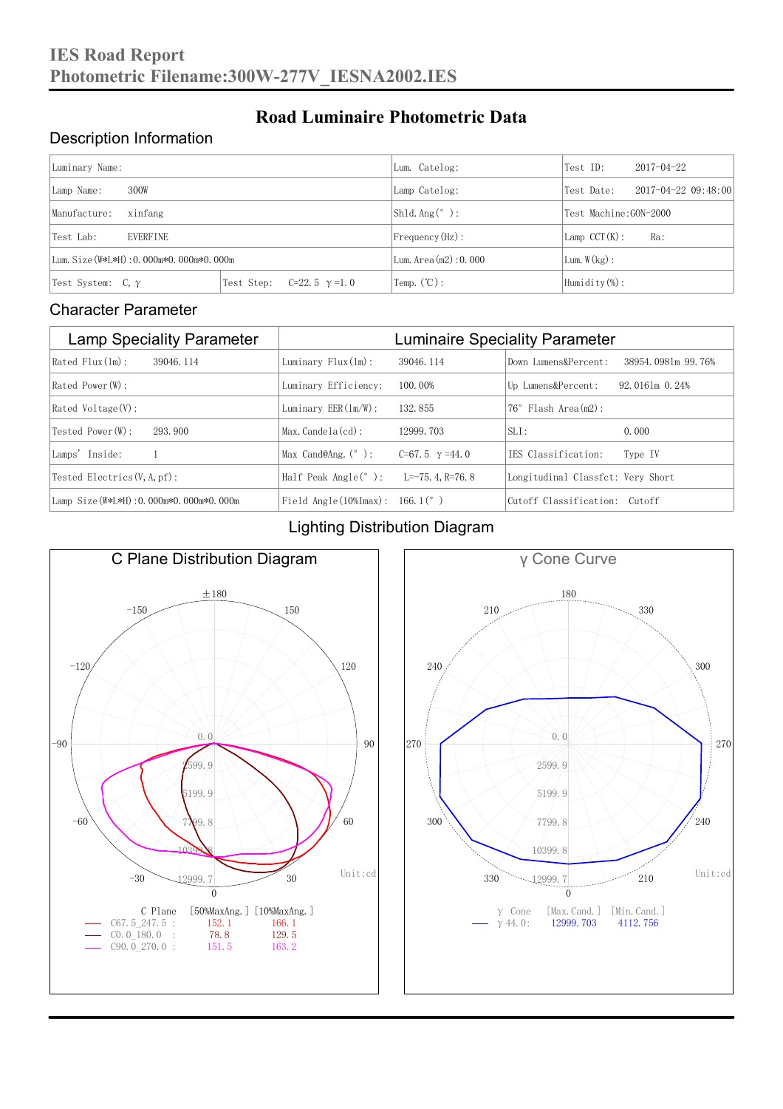### Description Information

| Luminary Name:                          |                                     | Lum. Catelog:          | Test ID:                    | $2017 - 04 - 22$ |  |
|-----------------------------------------|-------------------------------------|------------------------|-----------------------------|------------------|--|
| 300W<br>Lamp Name:                      | Lamp Catelog:                       | Test Date:             | $2017 - 04 - 22$ $09:48:00$ |                  |  |
| Manufacture:<br>xinfang                 |                                     | $Shld$ Ang(°):         | Test Machine: GON-2000      |                  |  |
| EVERFINE<br>Test Lab:                   |                                     | $Frequency(Hz)$ :      | $Lamp$ CCT $(K):$           | Ra:              |  |
| Lum. Size (W*L*H): 0.000m*0.000m*0.000m |                                     | Lum. Area $(m2):0.000$ | Lum. $W(kg)$ :              |                  |  |
| Test System: $C, \gamma$                | Test Step:<br>$C=22.5$ $\gamma=1.0$ | Temp. $(\mathbb{C})$ : | Humidity $(\%)$ :           |                  |  |

**Road Luminaire Photometric Data**

#### Character Parameter

| <b>Lamp Speciality Parameter</b>       | <b>Luminaire Speciality Parameter</b>                               |                       |                                   |                    |  |
|----------------------------------------|---------------------------------------------------------------------|-----------------------|-----------------------------------|--------------------|--|
| Rated Flux(1m):<br>39046.114           | Luminary $Flux(ln)$ :                                               | 39046, 114            | Down Lumens&Percent:              | 38954.0981m 99.76% |  |
| Rated Power (W):                       | Luminary Efficiency:                                                | 100.00%               | Up Lumens&Percent:                | $92.0161m$ 0.24%   |  |
| $Rated$ Voltage $(V)$ :                | Luminary $EER(\ln/W)$ :                                             | 132, 855              | Flash Area(m2):<br>$76^{\circ}$   |                    |  |
| Tested Power (W):<br>293, 900          | $Max. Candela(cd)$ :                                                | 12999.703             | $SLI$ :                           | 0.000              |  |
| Lamps' Inside:                         | Max Cand@Ang. $(°)$ :                                               | C=67.5 $\gamma$ =44.0 | IES Classification:               | Type IV            |  |
| Tested Electrics $(V, A, pf)$ :        | Half Peak Angle $(°)$ :                                             | L=-75. 4. R=76. 8     | Longitudinal Classfct: Very Short |                    |  |
| Lamp Size(W*L*H): 0.000m*0.000m*0.000m | Field Angle $(10\text{\%} \text{Im} \text{ax})$ : 166.1 $(^\circ$ ) |                       | Cutoff Classification: Cutoff     |                    |  |

#### Lighting Distribution Diagram



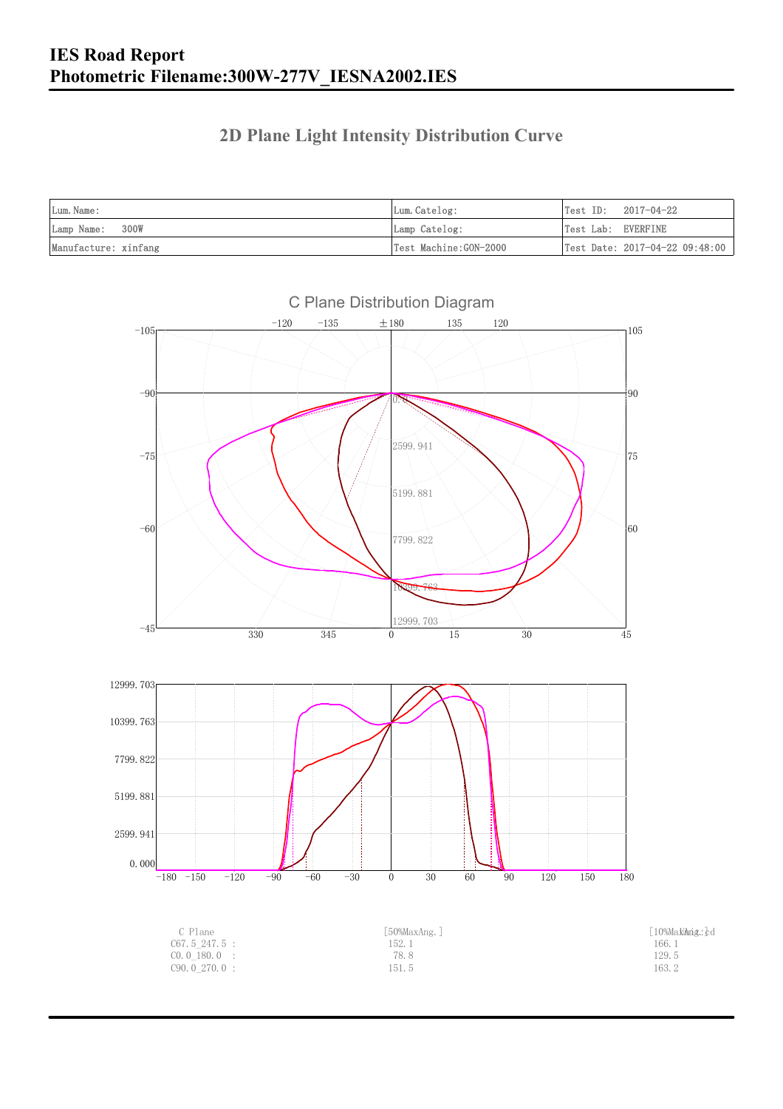### **2D Plane Light Intensity Distribution Curve**

| Lum. Name:           | Lum.Catelog:          | $Test ID: 2017-04-22$          |
|----------------------|-----------------------|--------------------------------|
| Lamp Name: 300W      | Lamp Catelog:         | Test Lab: EVERFINE             |
| Manufacture: xinfang | Test Machine:GON-2000 | Test Date: 2017-04-22 09:48:00 |

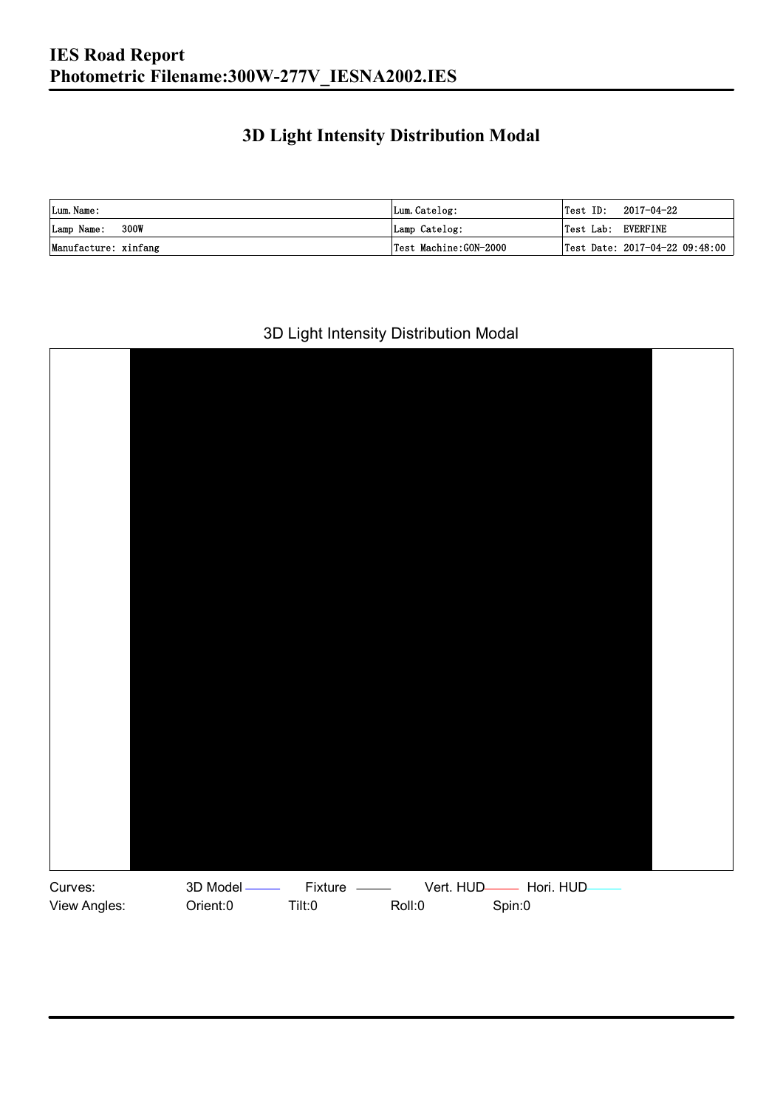### **3D Light Intensity Distribution Modal**

| Lum. Name:           | Lum.Catelog:          | $ Test$ ID:        | 2017-04-22                     |
|----------------------|-----------------------|--------------------|--------------------------------|
| Lamp Name: 300W      | Lamp Catelog:         | Test Lab: EVERFINE |                                |
| Manufacture: xinfang | Test Machine:GON-2000 |                    | Test Date: 2017-04-22 09:48:00 |

#### 3D Light Intensity Distribution Modal

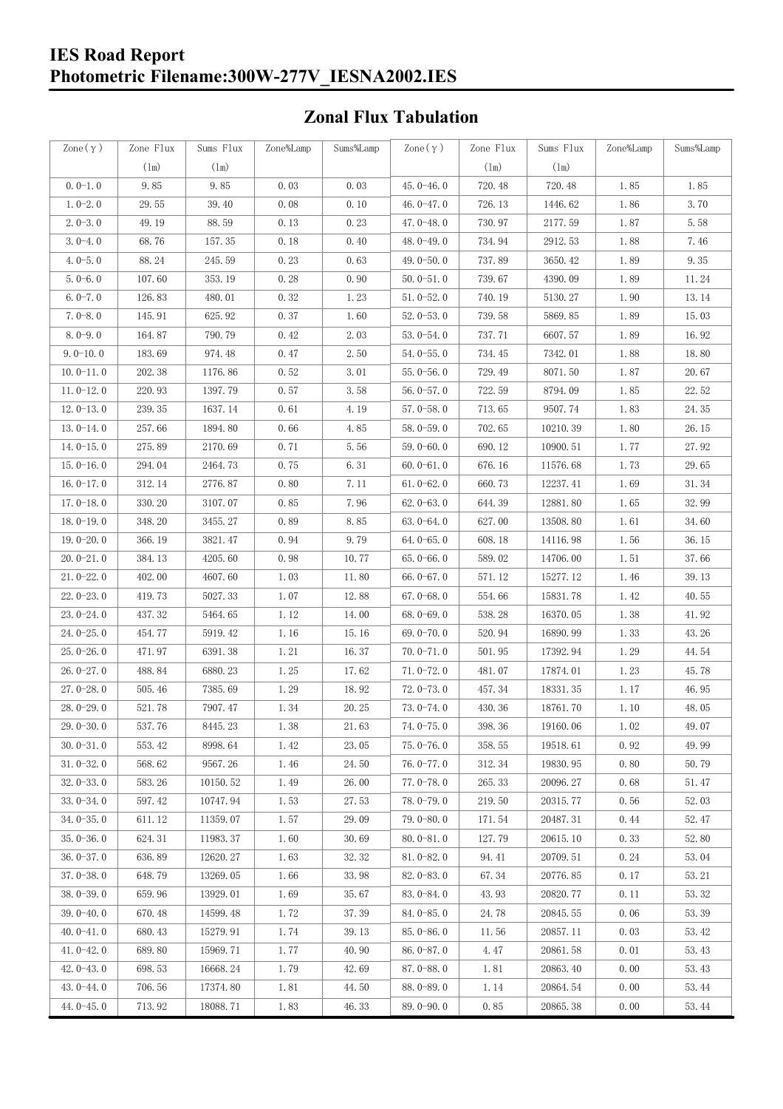### **Zonal Flux Tabulation**

| Zone $(\gamma)$ | Zone Flux     | Sums Flux     | Zone%Lamp | Sums%Lamp | Zone $(\gamma)$ | Zone Flux     | Sums Flux | Zone%Lamp | Sums%Lamp |
|-----------------|---------------|---------------|-----------|-----------|-----------------|---------------|-----------|-----------|-----------|
|                 | $(\text{lm})$ | $(\text{lm})$ |           |           |                 | $(\text{lm})$ | (1m)      |           |           |
| $0.0-1.0$       | 9.85          | 9.85          | 0.03      | 0.03      | $45.0 - 46.0$   | 720.48        | 720.48    | 1.85      | 1.85      |
| $1.0 - 2.0$     | 29.55         | 39.40         | 0.08      | 0.10      | 46.0 $-47.0$    | 726.13        | 1446.62   | 1.86      | 3.70      |
| $2.0 - 3.0$     | 49.19         | 88.59         | 0.13      | 0.23      | 47.0-48.0       | 730.97        | 2177.59   | 1.87      | 5.58      |
| $3.0 - 4.0$     | 68.76         | 157.35        | 0.18      | 0.40      | 48.0-49.0       | 734.94        | 2912.53   | 1.88      | 7.46      |
| $4.0 - 5.0$     | 88.24         | 245.59        | 0.23      | 0.63      | 49.0 $-50.0$    | 737.89        | 3650.42   | 1.89      | 9.35      |
| $5.0 - 6.0$     | 107.60        | 353.19        | 0.28      | 0.90      | $50.0 - 51.0$   | 739.67        | 4390.09   | 1.89      | 11.24     |
| $6.0 - 7.0$     | 126.83        | 480.01        | 0.32      | 1.23      | $51.0 - 52.0$   | 740.19        | 5130.27   | 1.90      | 13.14     |
| $7.0 - 8.0$     | 145.91        | 625.92        | 0.37      | 1.60      | $52.0 - 53.0$   | 739.58        | 5869.85   | 1.89      | 15.03     |
| $8.0 - 9.0$     | 164.87        | 790.79        | 0.42      | 2.03      | $53.0 - 54.0$   | 737.71        | 6607.57   | 1.89      | 16.92     |
| $9.0 - 10.0$    | 183.69        | 974.48        | 0.47      | 2.50      | $54.0 - 55.0$   | 734.45        | 7342.01   | 1.88      | 18.80     |
| $10.0 - 11.0$   | 202.38        | 1176.86       | 0.52      | 3.01      | $55.0 - 56.0$   | 729.49        | 8071.50   | 1.87      | 20.67     |
| $11.0 - 12.0$   | 220.93        | 1397.79       | 0.57      | 3.58      | $56.0 - 57.0$   | 722.59        | 8794.09   | 1.85      | 22.52     |
| $12.0 - 13.0$   | 239.35        | 1637.14       | 0.61      | 4.19      | $57.0 - 58.0$   | 713.65        | 9507.74   | 1.83      | 24.35     |
| $13.0 - 14.0$   | 257.66        | 1894.80       | 0.66      | 4.85      | $58.0 - 59.0$   | 702.65        | 10210.39  | 1.80      | 26.15     |
| $14.0 - 15.0$   | 275.89        | 2170.69       | 0.71      | 5.56      | $59.0 - 60.0$   | 690.12        | 10900.51  | 1.77      | 27.92     |
| $15.0 - 16.0$   | 294.04        | 2464.73       | 0.75      | 6.31      | $60.0 - 61.0$   | 676.16        | 11576.68  | 1.73      | 29.65     |
| $16.0 - 17.0$   | 312.14        | 2776.87       | 0.80      | 7.11      | $61.0 - 62.0$   | 660.73        | 12237.41  | 1.69      | 31.34     |
| $17.0 - 18.0$   | 330.20        | 3107.07       | 0.85      | 7.96      | $62.0 - 63.0$   | 644.39        | 12881.80  | 1.65      | 32.99     |
| $18.0 - 19.0$   | 348.20        | 3455.27       | 0.89      | 8.85      | $63.0 - 64.0$   | 627.00        | 13508.80  | 1.61      | 34.60     |
| $19.0 - 20.0$   | 366.19        | 3821.47       | 0.94      | 9.79      | $64.0 - 65.0$   | 608.18        | 14116.98  | 1.56      | 36.15     |
| $20.0 - 21.0$   | 384.13        | 4205.60       | 0.98      | 10.77     | $65.0 - 66.0$   | 589.02        | 14706.00  | 1.51      | 37.66     |
| $21.0 - 22.0$   | 402.00        | 4607.60       | 1.03      | 11.80     | $66.0 - 67.0$   | 571.12        | 15277.12  | 1.46      | 39.13     |
| $22.0 - 23.0$   | 419.73        | 5027.33       | 1.07      | 12.88     | $67.0 - 68.0$   | 554.66        | 15831.78  | 1.42      | 40.55     |
| $23.0 - 24.0$   | 437.32        | 5464.65       | 1.12      | 14.00     | $68.0 - 69.0$   | 538.28        | 16370.05  | 1.38      | 41.92     |
| $24.0 - 25.0$   | 454.77        | 5919.42       | 1.16      | 15.16     | 69.0 $-70.0$    | 520.94        | 16890.99  | 1.33      | 43.26     |
| $25.0 - 26.0$   | 471.97        | 6391.38       | 1.21      | 16.37     | $70.0 - 71.0$   | 501.95        | 17392.94  | 1.29      | 44.54     |
| $26.0 - 27.0$   | 488.84        | 6880.23       | 1.25      | 17.62     | $71.0 - 72.0$   | 481.07        | 17874.01  | 1.23      | 45.78     |
| $27.0 - 28.0$   | 505.46        | 7385.69       | 1.29      | 18.92     | $72.0 - 73.0$   | 457.34        | 18331.35  | 1.17      | 46.95     |
| 28.0-29.0       | 521.78        | 7907.47       | 1.34      | 20.25     | $73.0 - 74.0$   | 430.36        | 18761.70  | 1.10      | 48.05     |
| 29.0-30.0       | 537.76        | 8445.23       | 1.38      | 21.63     | 74.0-75.0       | 398.36        | 19160.06  | $1.\,02$  | 49.07     |
| $30.0 - 31.0$   | 553.42        | 8998.64       | 1.42      | 23.05     | $75.0 - 76.0$   | 358.55        | 19518.61  | 0.92      | 49.99     |
| $31.0 - 32.0$   | 568.62        | 9567.26       | 1.46      | 24.50     | 76.0-77.0       | 312.34        | 19830.95  | 0.80      | 50.79     |
| $32.0 - 33.0$   | 583.26        | 10150.52      | 1.49      | 26.00     | $77.0 - 78.0$   | 265.33        | 20096.27  | 0.68      | 51.47     |
| $33.0 - 34.0$   | 597.42        | 10747.94      | 1.53      | 27.53     | 78.0-79.0       | 219.50        | 20315.77  | 0.56      | 52.03     |
| $34.0 - 35.0$   | 611.12        | 11359.07      | 1.57      | 29.09     | $79.0 - 80.0$   | 171.54        | 20487.31  | 0.44      | 52.47     |
| $35.0 - 36.0$   | 624.31        | 11983.37      | 1.60      | 30.69     | $80.0 - 81.0$   | 127.79        | 20615.10  | 0.33      | 52.80     |
| $36.0 - 37.0$   | 636.89        | 12620.27      | 1.63      | 32.32     | $81.0 - 82.0$   | 94.41         | 20709.51  | 0.24      | 53.04     |
| $37.0 - 38.0$   | 648.79        | 13269.05      | 1.66      | 33.98     | $82.0 - 83.0$   | 67.34         | 20776.85  | 0.17      | 53.21     |
| $38.0 - 39.0$   | 659.96        | 13929.01      | 1.69      | 35.67     | 83.0-84.0       | 43.93         | 20820.77  | 0.11      | 53.32     |
| $39.0 - 40.0$   | 670.48        | 14599.48      | 1.72      | 37.39     | 84.0-85.0       | 24.78         | 20845.55  | 0.06      | 53.39     |
| $40.0 - 41.0$   | 680.43        | 15279.91      | 1.74      | 39.13     | 85.0-86.0       | 11.56         | 20857.11  | 0.03      | 53.42     |
| $41.0 - 42.0$   | 689.80        | 15969.71      | 1.77      | 40.90     | $86.0 - 87.0$   | 4.47          | 20861.58  | 0.01      | 53.43     |
| $42.0 - 43.0$   | 698.53        | 16668.24      | 1.79      | 42.69     | 87.0-88.0       | 1.81          | 20863.40  | 0.00      | 53.43     |
| $43.0 - 44.0$   | 706.56        | 17374.80      | 1.81      | 44.50     | 88.0-89.0       | 1.14          | 20864.54  | 0.00      | 53.44     |
| $44.0 - 45.0$   | 713.92        | 18088.71      | 1.83      | 46.33     | $89.0 - 90.0$   | 0.85          | 20865.38  | 0.00      | 53.44     |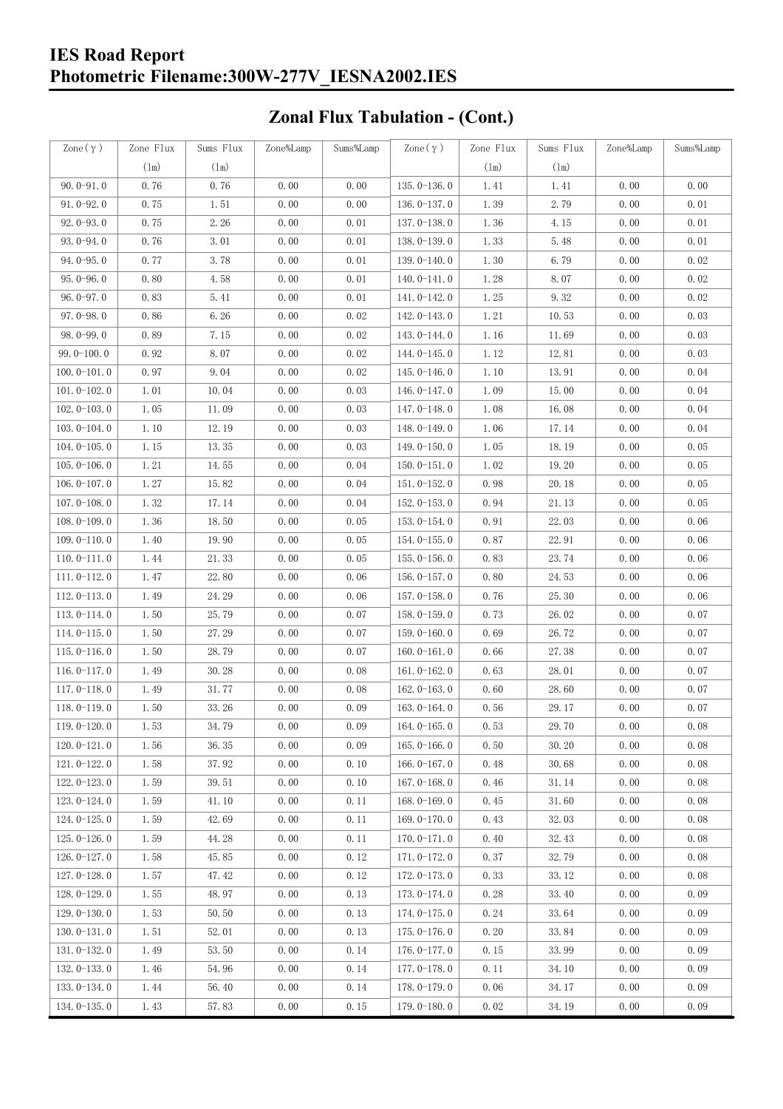# **Zonal Flux Tabulation - (Cont.)**

| Zone $(\gamma)$ | Zone Flux | Sums Flux | Zone%Lamp | Sums%Lamp | Zone $(\gamma)$ | Zone Flux | Sums Flux | Zone%Lamp | Sums%Lamp |
|-----------------|-----------|-----------|-----------|-----------|-----------------|-----------|-----------|-----------|-----------|
|                 | (1m)      | (1m)      |           |           |                 | (1m)      | $(\ln)$   |           |           |
| $90.0 - 91.0$   | 0.76      | 0.76      | 0.00      | 0.00      | $135.0 - 136.0$ | 1.41      | 1.41      | 0.00      | 0.00      |
| $91.0 - 92.0$   | 0.75      | 1.51      | 0.00      | 0.00      | 136.0-137.0     | 1.39      | 2.79      | 0.00      | 0.01      |
| $92.0 - 93.0$   | 0.75      | 2.26      | 0.00      | 0.01      | $137.0 - 138.0$ | 1.36      | 4.15      | 0.00      | 0.01      |
| 93.0-94.0       | 0.76      | 3.01      | 0.00      | 0.01      | 138.0-139.0     | 1.33      | 5.48      | 0.00      | 0.01      |
| $94.0 - 95.0$   | 0.77      | 3.78      | 0.00      | 0.01      | 139.0-140.0     | 1.30      | 6.79      | 0.00      | 0.02      |
| $95.0 - 96.0$   | 0.80      | 4.58      | 0.00      | 0.01      | $140.0 - 141.0$ | 1.28      | 8.07      | 0.00      | 0.02      |
| $96.0 - 97.0$   | 0.83      | 5.41      | 0.00      | 0.01      | 141.0-142.0     | 1.25      | 9.32      | 0.00      | 0.02      |
| $97.0 - 98.0$   | 0.86      | 6.26      | 0.00      | 0.02      | 142.0-143.0     | 1.21      | 10.53     | 0.00      | 0.03      |
| $98.0 - 99.0$   | 0.89      | 7.15      | 0.00      | 0.02      | 143.0-144.0     | 1.16      | 11.69     | 0.00      | 0.03      |
| $99.0 - 100.0$  | 0.92      | 8.07      | 0.00      | 0.02      | 144.0-145.0     | 1.12      | 12.81     | 0.00      | 0.03      |
| $100.0 - 101.0$ | 0.97      | 9.04      | 0.00      | 0.02      | $145.0 - 146.0$ | 1.10      | 13.91     | 0.00      | 0.04      |
| $101.0 - 102.0$ | 1.01      | 10.04     | 0.00      | 0.03      | 146.0-147.0     | 1.09      | 15.00     | 0.00      | 0.04      |
| $102.0 - 103.0$ | 1.05      | 11.09     | 0.00      | 0.03      | 147.0-148.0     | 1.08      | 16.08     | 0.00      | 0.04      |
| $103.0 - 104.0$ | 1.10      | 12.19     | 0.00      | 0.03      | 148.0-149.0     | 1.06      | 17.14     | 0.00      | 0.04      |
| $104.0 - 105.0$ | 1.15      | 13.35     | 0.00      | 0.03      | $149.0 - 150.0$ | 1.05      | 18.19     | 0.00      | 0.05      |
| $105.0 - 106.0$ | 1.21      | 14.55     | 0.00      | 0.04      | $150.0 - 151.0$ | 1.02      | 19.20     | 0.00      | 0.05      |
| $106.0 - 107.0$ | 1.27      | 15.82     | 0.00      | 0.04      | $151.0 - 152.0$ | 0.98      | 20.18     | 0.00      | 0.05      |
| $107.0 - 108.0$ | 1.32      | 17.14     | 0.00      | 0.04      | $152.0 - 153.0$ | 0.94      | 21.13     | 0.00      | 0.05      |
| $108.0 - 109.0$ | 1.36      | 18.50     | 0.00      | 0.05      | $153.0 - 154.0$ | 0.91      | 22.03     | 0.00      | 0.06      |
| $109.0 - 110.0$ | 1.40      | 19.90     | 0.00      | 0.05      | 154.0-155.0     | 0.87      | 22.91     | 0.00      | 0.06      |
| $110.0 - 111.0$ | 1.44      | 21.33     | 0.00      | 0.05      | $155.0 - 156.0$ | 0.83      | 23.74     | 0.00      | 0.06      |
| $111.0 - 112.0$ | 1.47      | 22.80     | 0.00      | 0.06      | $156.0 - 157.0$ | 0.80      | 24.53     | 0.00      | 0.06      |
| $112.0 - 113.0$ | 1.49      | 24.29     | 0.00      | 0.06      | 157.0-158.0     | 0.76      | 25.30     | 0.00      | 0.06      |
| $113.0 - 114.0$ | 1.50      | 25.79     | 0.00      | 0.07      | 158.0-159.0     | 0.73      | 26.02     | 0.00      | 0.07      |
| $114.0 - 115.0$ | 1.50      | 27.29     | 0.00      | 0.07      | $159.0 - 160.0$ | 0.69      | 26.72     | 0.00      | 0.07      |
| $115.0 - 116.0$ | 1.50      | 28.79     | 0.00      | 0.07      | $160.0 - 161.0$ | 0.66      | 27.38     | 0.00      | 0.07      |
| $116.0 - 117.0$ | 1.49      | 30.28     | 0.00      | 0.08      | $161.0 - 162.0$ | 0.63      | 28.01     | 0.00      | 0.07      |
| $117.0 - 118.0$ | 1.49      | 31.77     | 0.00      | 0.08      | $162.0 - 163.0$ | 0.60      | 28.60     | 0.00      | 0.07      |
| $118.0 - 119.0$ | 1.50      | 33.26     | 0.00      | 0.09      | $163.0 - 164.0$ | 0.56      | 29.17     | 0.00      | 0.07      |
| 119.0-120.0     | 1.53      | 34.79     | 0.00      | 0.09      | 164.0-165.0     | 0.53      | 29.70     | 0.00      | 0.08      |
| $120.0 - 121.0$ | 1.56      | 36.35     | 0.00      | 0.09      | $165.0 - 166.0$ | 0.50      | 30.20     | 0.00      | 0.08      |
| $121.0 - 122.0$ | 1.58      | 37.92     | 0.00      | 0.10      | $166.0 - 167.0$ | 0.48      | 30.68     | 0.00      | 0.08      |
| $122.0 - 123.0$ | 1.59      | 39.51     | 0.00      | 0.10      | $167.0 - 168.0$ | 0.46      | 31.14     | 0.00      | 0.08      |
| $123.0 - 124.0$ | 1.59      | 41.10     | 0.00      | 0.11      | $168.0 - 169.0$ | 0.45      | 31.60     | 0.00      | 0.08      |
| $124.0 - 125.0$ | 1.59      | 42.69     | 0.00      | 0.11      | $169.0 - 170.0$ | 0.43      | 32.03     | 0.00      | 0.08      |
| $125.0 - 126.0$ | 1.59      | 44.28     | 0.00      | 0.11      | $170.0 - 171.0$ | 0.40      | 32.43     | 0.00      | 0.08      |
| $126.0 - 127.0$ | 1.58      | 45.85     | 0.00      | 0.12      | 171.0-172.0     | 0.37      | 32.79     | 0.00      | 0.08      |
| $127.0 - 128.0$ | 1.57      | 47.42     | 0.00      | 0.12      | $172.0 - 173.0$ | 0.33      | 33.12     | 0.00      | 0.08      |
| $128.0 - 129.0$ | 1.55      | 48.97     | 0.00      | 0.13      | 173.0-174.0     | 0.28      | 33.40     | 0.00      | 0.09      |
| $129.0 - 130.0$ | 1.53      | 50.50     | 0.00      | 0.13      | 174.0-175.0     | 0.24      | 33.64     | 0.00      | 0.09      |
| $130.0 - 131.0$ | 1.51      | 52.01     | 0.00      | 0.13      | $175.0 - 176.0$ | 0.20      | 33.84     | 0.00      | 0.09      |
| $131.0 - 132.0$ | 1.49      | 53.50     | 0.00      | 0.14      | 176.0-177.0     | 0.15      | 33.99     | 0.00      | 0.09      |
| $132.0 - 133.0$ | 1.46      | 54.96     | 0.00      | 0.14      | $177.0 - 178.0$ | 0.11      | 34.10     | 0.00      | 0.09      |
| $133.0 - 134.0$ | 1.44      | 56.40     | 0.00      | 0.14      | 178.0-179.0     | 0.06      | 34.17     | 0.00      | 0.09      |
| $134.0 - 135.0$ | 1.43      | 57.83     | 0.00      | 0.15      | $179.0 - 180.0$ | 0.02      | 34.19     | 0.00      | 0.09      |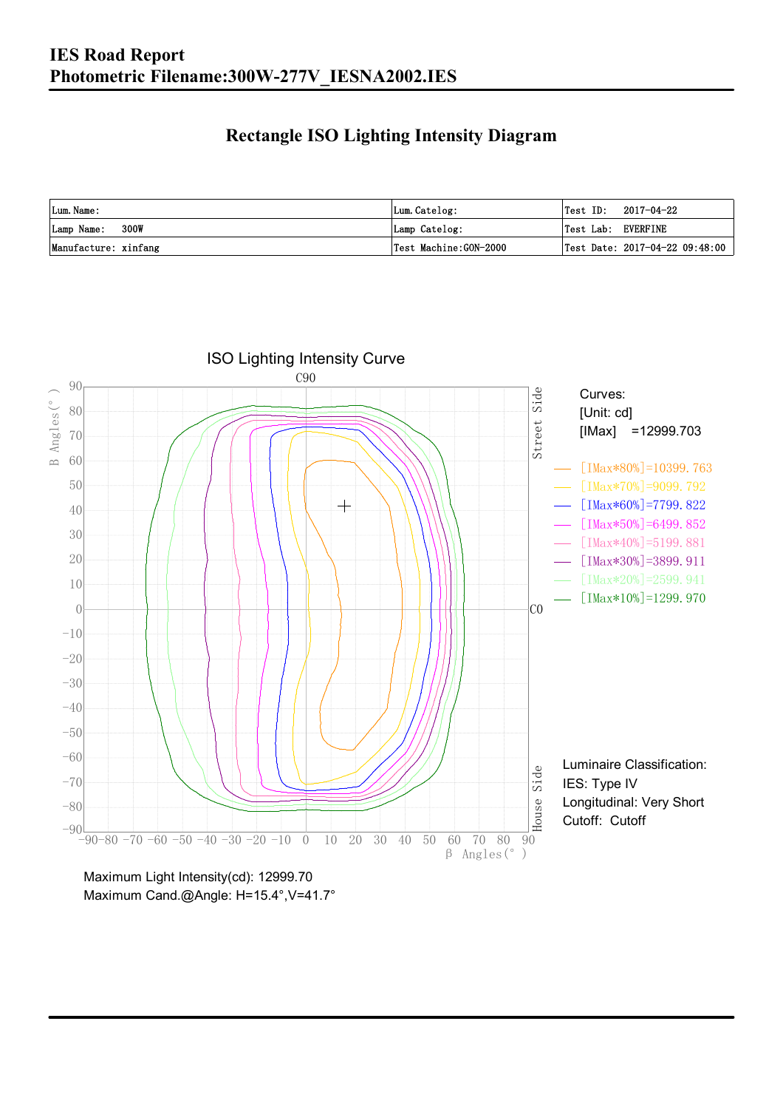### **Rectangle ISO Lighting Intensity Diagram**

| Lum. Name:           | Lum.Catelog:          | $\textsf{Test ID:} \quad 2017-04-22$ |
|----------------------|-----------------------|--------------------------------------|
| Lamp Name: 300W      | Lamp Catelog:         | Test Lab: EVERFINE                   |
| Manufacture: xinfang | Test Machine:GON-2000 | Test Date: $2017-04-22$ 09:48:00     |



Maximum Cand.@Angle: H=15.4°, V=41.7°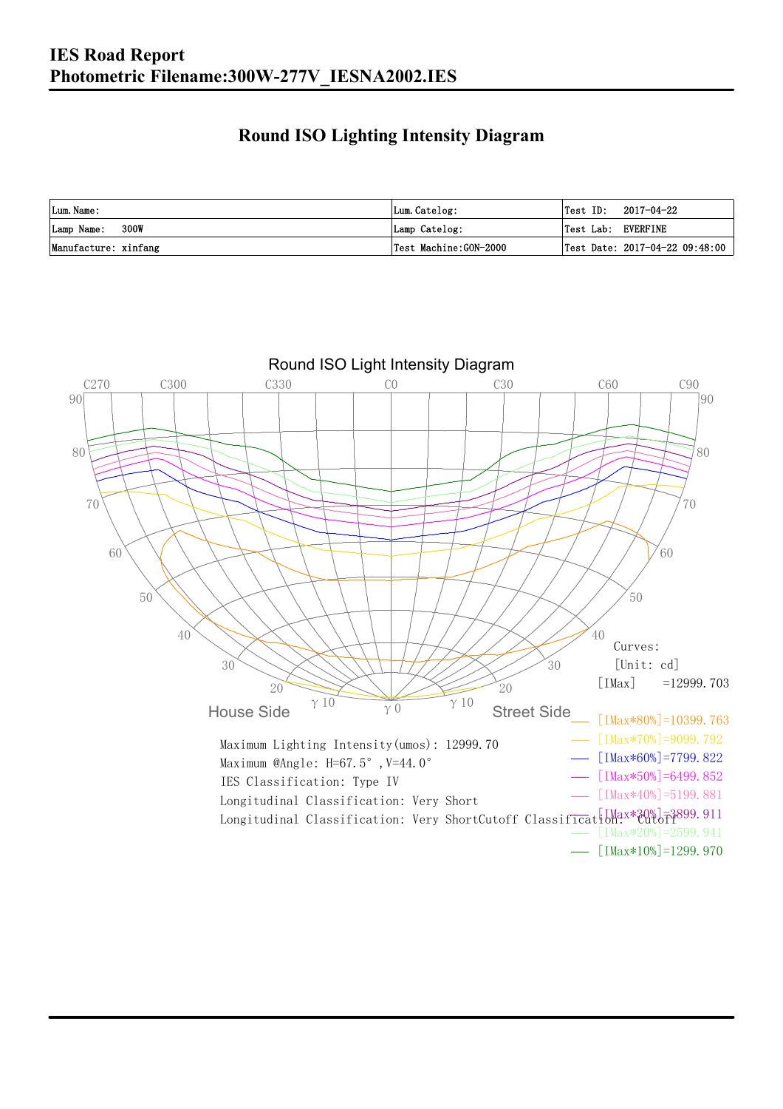### **Round ISO Lighting Intensity Diagram**

| Lum. Name:           | Lum.Catelog:          | 2017-04-22<br>Test ID:                         |
|----------------------|-----------------------|------------------------------------------------|
| 300W<br>Lamp Name:   | Lamp Catelog:         | Test Lab: EVERFINE                             |
| Manufacture: xinfang | Test Machine:GON-2000 | $\vert$ Test Date: 2017-04-22 09:48:00 $\vert$ |

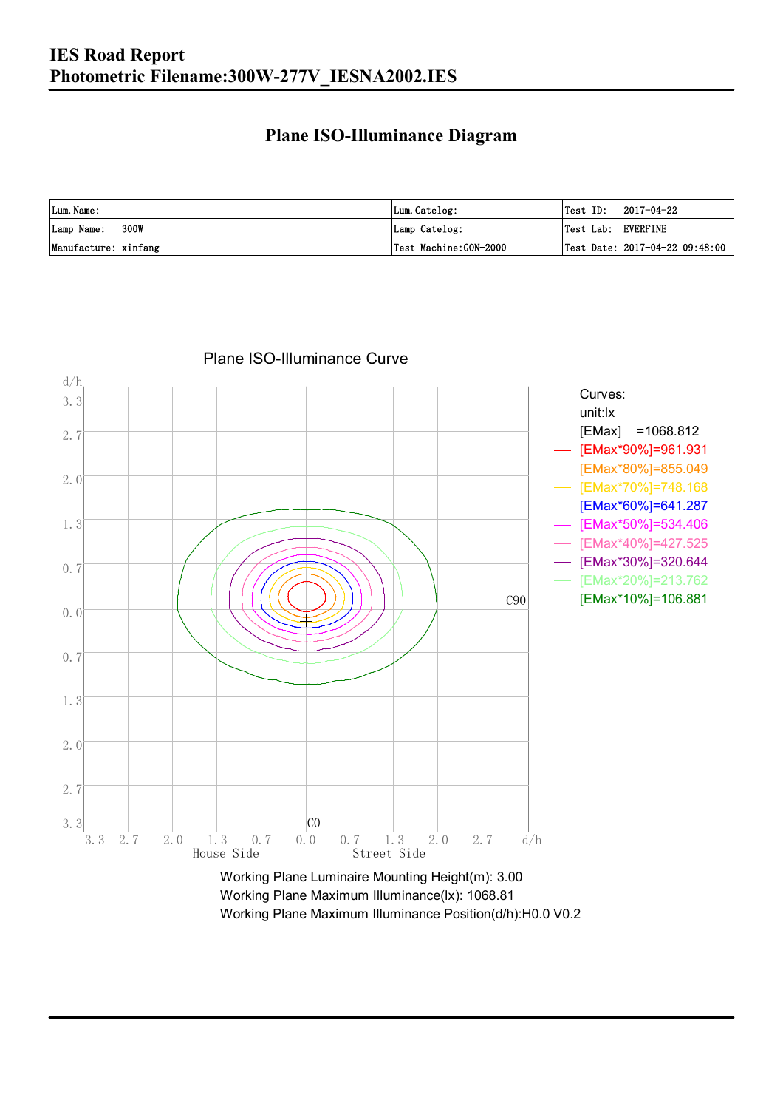#### **Plane ISO-Illuminance Diagram**

| Lum. Name:           | Lum.Catelog:          | $\textsf{Test ID:} \quad 2017-04-22$           |
|----------------------|-----------------------|------------------------------------------------|
| 300W<br>Lamp Name:   | Lamp Catelog:         | Test Lab: EVERFINE                             |
| Manufacture: xinfang | Test Machine:GON-2000 | $\vert$ Test Date: 2017-04-22 09:48:00 $\vert$ |



#### Plane ISO-Illuminance Curve

Working Plane Maximum Illuminance(lx): 1068.81 Working Plane Maximum Illuminance Position(d/h):H0.0 V0.2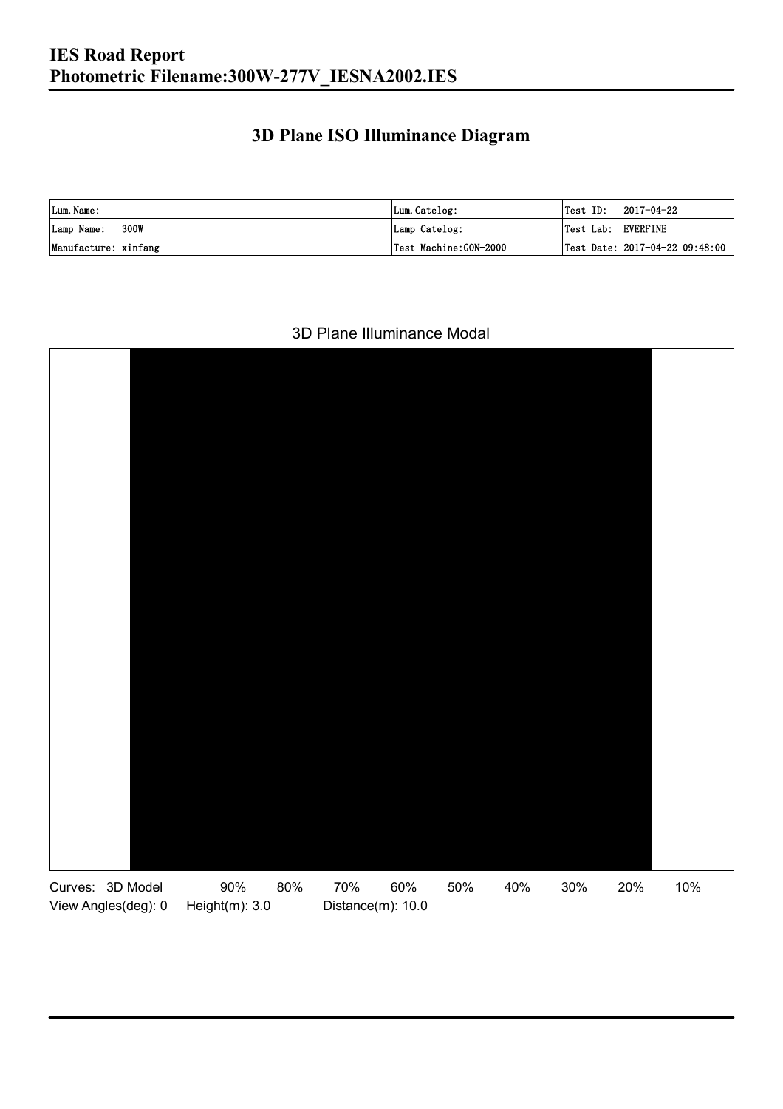### **3D Plane ISO Illuminance Diagram**

| Lum. Name:           | Lum.Catelog:          |                    | $\textsf{Test ID:} \quad 2017-04-22$ |
|----------------------|-----------------------|--------------------|--------------------------------------|
| 300W<br>Lamp Name:   | Lamp Catelog:         | Test Lab: EVERFINE |                                      |
| Manufacture: xinfang | Test Machine:GON-2000 |                    | Test Date: 2017-04-22 09:48:00       |

#### 3D Plane Illuminance Modal

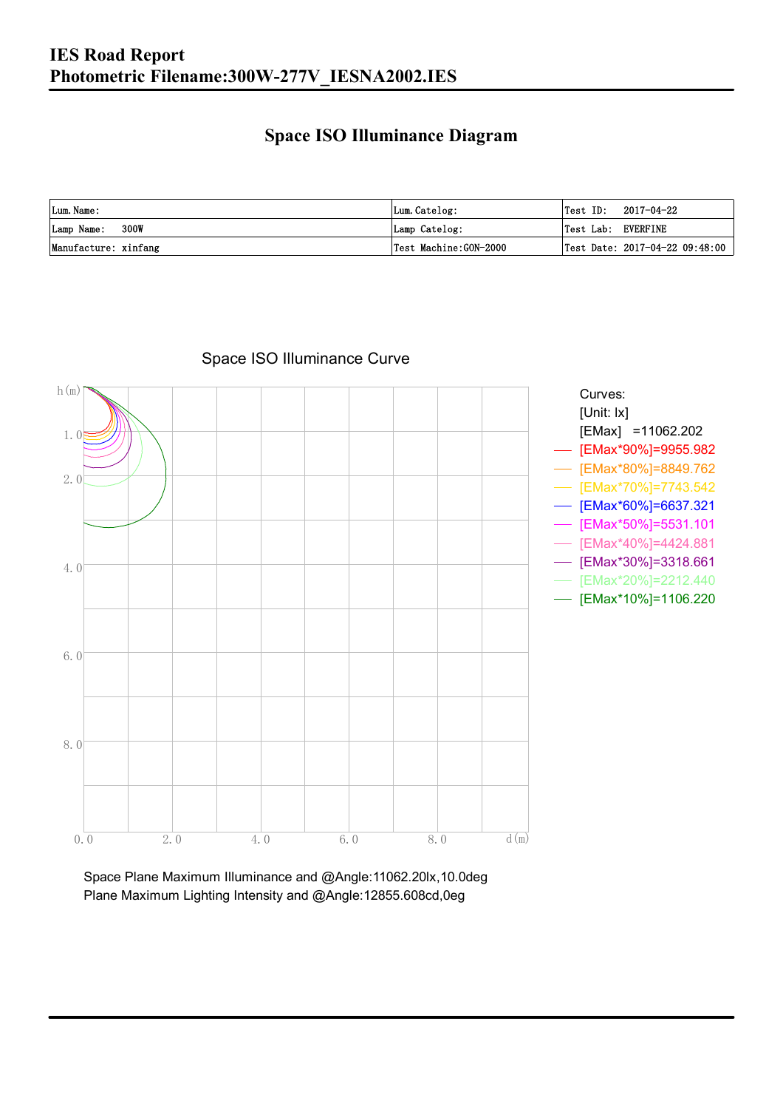### **Space ISO Illuminance Diagram**

| Lum. Name:           | Lum.Catelog:          | $\textsf{Test ID:} \quad 2017-04-22$           |
|----------------------|-----------------------|------------------------------------------------|
| 300W<br>Lamp Name:   | Lamp Catelog:         | Test Lab: EVERFINE                             |
| Manufacture: xinfang | Test Machine:GON-2000 | $\vert$ Test Date: 2017-04-22 09:48:00 $\vert$ |



### Space ISO Illuminance Curve

Space Plane Maximum Illuminance and @Angle:11062.20lx,10.0deg Plane Maximum Lighting Intensity and @Angle:12855.608cd,0eg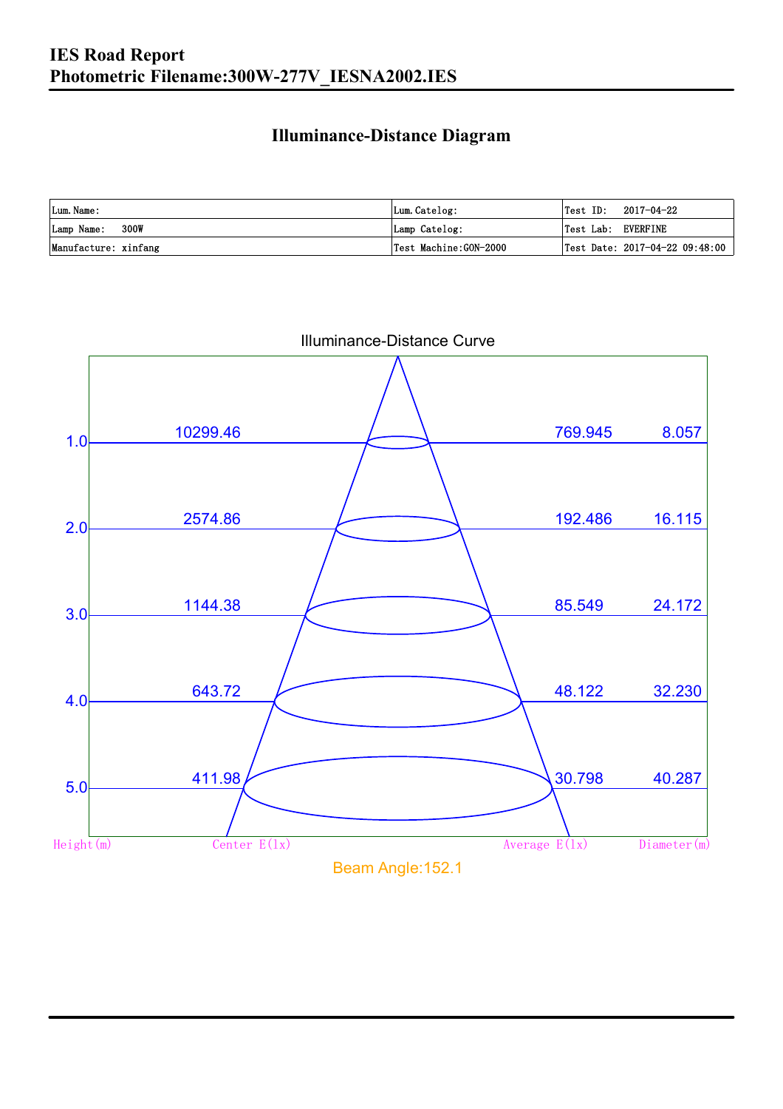### **Illuminance-Distance Diagram**

| Lum. Name:           | Lum.Catelog:           | Test ID:           | 2017-04-22                     |
|----------------------|------------------------|--------------------|--------------------------------|
| 300W<br>Lamp Name:   | Lamp Catelog:          | Test Lab: EVERFINE |                                |
| Manufacture: xinfang | 'Test Machine:GON−2000 |                    | Test Date: 2017-04-22 09:48:00 |



Illuminance-Distance Curve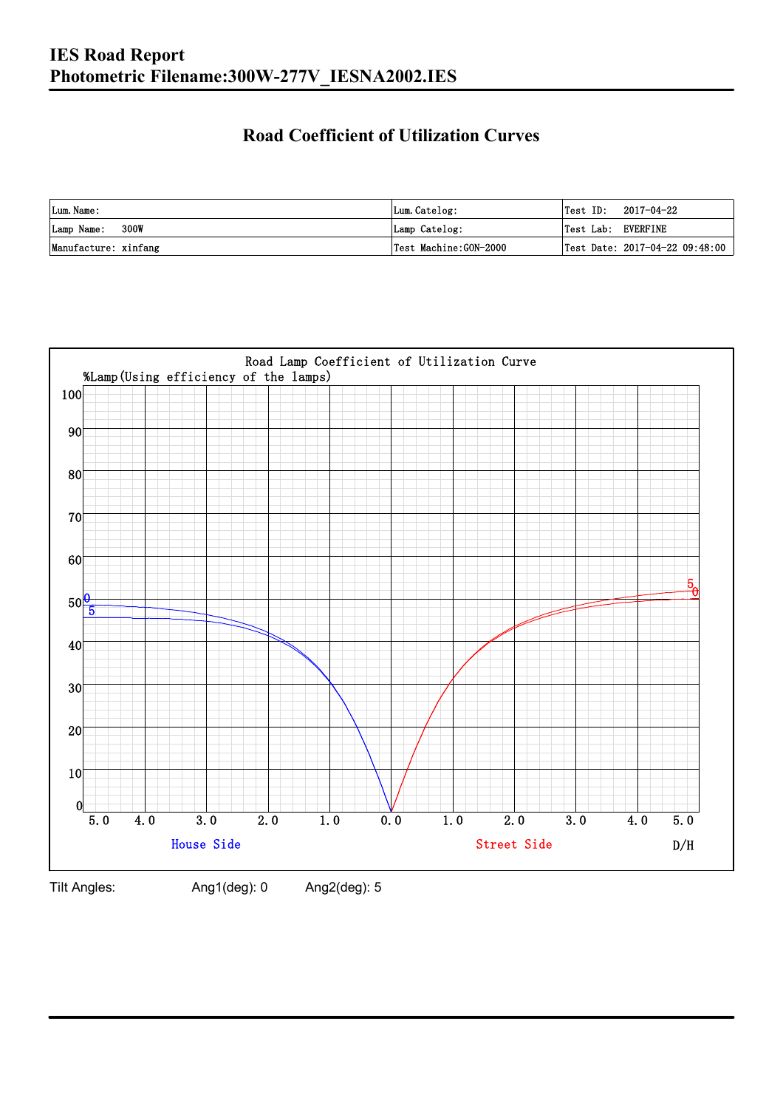### **Road Coefficient of Utilization Curves**

| Lum. Name:           | Lum.Catelog:          | Test ID:           | 2017-04-22                     |
|----------------------|-----------------------|--------------------|--------------------------------|
| 300W<br>Lamp Name:   | Lamp Catelog:         | Test Lab: EVERFINE |                                |
| Manufacture: xinfang | Test Machine:GON-2000 |                    | Test Date: 2017-04-22 09:48:00 |



Tilt Angles: Ang1(deg): 0 Ang2(deg): 5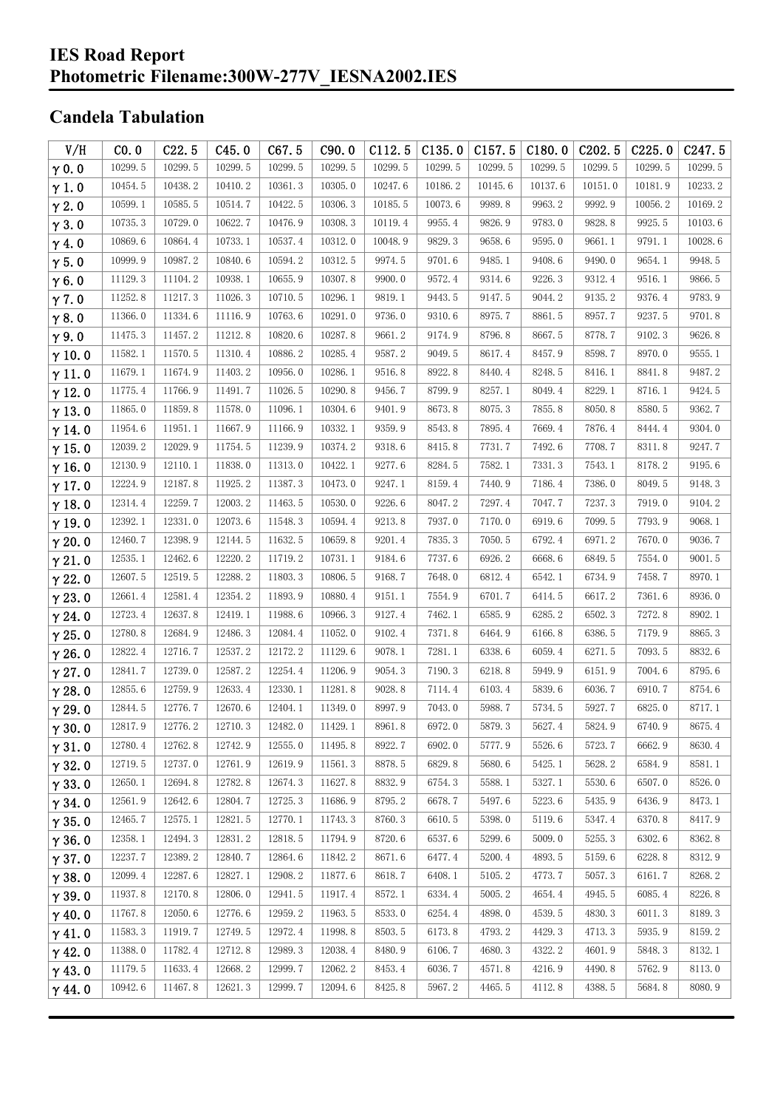### **Candela Tabulation**

| V/H           | CO.0    | C22.5   | C45.0   | C67.5   | C90.0   | C112.5  | C135.0  | C157.5  | C180.0  | C202.5  | C225.0  | C <sub>247.5</sub> |
|---------------|---------|---------|---------|---------|---------|---------|---------|---------|---------|---------|---------|--------------------|
| $\gamma$ 0.0  | 10299.5 | 10299.5 | 10299.5 | 10299.5 | 10299.5 | 10299.5 | 10299.5 | 10299.5 | 10299.5 | 10299.5 | 10299.5 | 10299.5            |
| $\gamma$ 1.0  | 10454.5 | 10438.2 | 10410.2 | 10361.3 | 10305.0 | 10247.6 | 10186.2 | 10145.6 | 10137.6 | 10151.0 | 10181.9 | 10233.2            |
| $\gamma$ 2.0  | 10599.1 | 10585.5 | 10514.7 | 10422.5 | 10306.3 | 10185.5 | 10073.6 | 9989.8  | 9963.2  | 9992.9  | 10056.2 | 10169.2            |
| $\gamma$ 3.0  | 10735.3 | 10729.0 | 10622.7 | 10476.9 | 10308.3 | 10119.4 | 9955.4  | 9826.9  | 9783.0  | 9828.8  | 9925.5  | 10103.6            |
| $\gamma$ 4.0  | 10869.6 | 10864.4 | 10733.1 | 10537.4 | 10312.0 | 10048.9 | 9829.3  | 9658.6  | 9595.0  | 9661.1  | 9791.1  | 10028.6            |
| $\gamma$ 5.0  | 10999.9 | 10987.2 | 10840.6 | 10594.2 | 10312.5 | 9974.5  | 9701.6  | 9485.1  | 9408.6  | 9490.0  | 9654.1  | 9948.5             |
| $\gamma$ 6.0  | 11129.3 | 11104.2 | 10938.1 | 10655.9 | 10307.8 | 9900.0  | 9572.4  | 9314.6  | 9226.3  | 9312.4  | 9516.1  | 9866.5             |
| $\gamma$ 7.0  | 11252.8 | 11217.3 | 11026.3 | 10710.5 | 10296.1 | 9819.1  | 9443.5  | 9147.5  | 9044.2  | 9135.2  | 9376.4  | 9783.9             |
| $\gamma$ 8.0  | 11366.0 | 11334.6 | 11116.9 | 10763.6 | 10291.0 | 9736.0  | 9310.6  | 8975.7  | 8861.5  | 8957.7  | 9237.5  | 9701.8             |
| $\gamma$ 9.0  | 11475.3 | 11457.2 | 11212.8 | 10820.6 | 10287.8 | 9661.2  | 9174.9  | 8796.8  | 8667.5  | 8778.7  | 9102.3  | 9626.8             |
| $\gamma$ 10.0 | 11582.1 | 11570.5 | 11310.4 | 10886.2 | 10285.4 | 9587.2  | 9049.5  | 8617.4  | 8457.9  | 8598.7  | 8970.0  | 9555.1             |
| $\gamma$ 11.0 | 11679.1 | 11674.9 | 11403.2 | 10956.0 | 10286.1 | 9516.8  | 8922.8  | 8440.4  | 8248.5  | 8416.1  | 8841.8  | 9487.2             |
| $\gamma$ 12.0 | 11775.4 | 11766.9 | 11491.7 | 11026.5 | 10290.8 | 9456.7  | 8799.9  | 8257.1  | 8049.4  | 8229.1  | 8716.1  | 9424.5             |
| $\gamma$ 13.0 | 11865.0 | 11859.8 | 11578.0 | 11096.1 | 10304.6 | 9401.9  | 8673.8  | 8075.3  | 7855.8  | 8050.8  | 8580.5  | 9362.7             |
| $\gamma$ 14.0 | 11954.6 | 11951.1 | 11667.9 | 11166.9 | 10332.1 | 9359.9  | 8543.8  | 7895.4  | 7669.4  | 7876.4  | 8444.4  | 9304.0             |
| $\gamma$ 15.0 | 12039.2 | 12029.9 | 11754.5 | 11239.9 | 10374.2 | 9318.6  | 8415.8  | 7731.7  | 7492.6  | 7708.7  | 8311.8  | 9247.7             |
| $\gamma$ 16.0 | 12130.9 | 12110.1 | 11838.0 | 11313.0 | 10422.1 | 9277.6  | 8284.5  | 7582.1  | 7331.3  | 7543.1  | 8178.2  | 9195.6             |
| $\gamma$ 17.0 | 12224.9 | 12187.8 | 11925.2 | 11387.3 | 10473.0 | 9247.1  | 8159.4  | 7440.9  | 7186.4  | 7386.0  | 8049.5  | 9148.3             |
| $\gamma$ 18.0 | 12314.4 | 12259.7 | 12003.2 | 11463.5 | 10530.0 | 9226.6  | 8047.2  | 7297.4  | 7047.7  | 7237.3  | 7919.0  | 9104.2             |
| $\gamma$ 19.0 | 12392.1 | 12331.0 | 12073.6 | 11548.3 | 10594.4 | 9213.8  | 7937.0  | 7170.0  | 6919.6  | 7099.5  | 7793.9  | 9068.1             |
| $\gamma$ 20.0 | 12460.7 | 12398.9 | 12144.5 | 11632.5 | 10659.8 | 9201.4  | 7835.3  | 7050.5  | 6792.4  | 6971.2  | 7670.0  | 9036.7             |
| $\gamma$ 21.0 | 12535.1 | 12462.6 | 12220.2 | 11719.2 | 10731.1 | 9184.6  | 7737.6  | 6926.2  | 6668.6  | 6849.5  | 7554.0  | 9001.5             |
| $\gamma$ 22.0 | 12607.5 | 12519.5 | 12288.2 | 11803.3 | 10806.5 | 9168.7  | 7648.0  | 6812.4  | 6542.1  | 6734.9  | 7458.7  | 8970.1             |
| $\gamma$ 23.0 | 12661.4 | 12581.4 | 12354.2 | 11893.9 | 10880.4 | 9151.1  | 7554.9  | 6701.7  | 6414.5  | 6617.2  | 7361.6  | 8936.0             |
| $\gamma$ 24.0 | 12723.4 | 12637.8 | 12419.1 | 11988.6 | 10966.3 | 9127.4  | 7462.1  | 6585.9  | 6285.2  | 6502.3  | 7272.8  | 8902.1             |
| $\gamma$ 25.0 | 12780.8 | 12684.9 | 12486.3 | 12084.4 | 11052.0 | 9102.4  | 7371.8  | 6464.9  | 6166.8  | 6386.5  | 7179.9  | 8865.3             |
| $\gamma$ 26.0 | 12822.4 | 12716.7 | 12537.2 | 12172.2 | 11129.6 | 9078.1  | 7281.1  | 6338.6  | 6059.4  | 6271.5  | 7093.5  | 8832.6             |
| $\gamma$ 27.0 | 12841.7 | 12739.0 | 12587.2 | 12254.4 | 11206.9 | 9054.3  | 7190.3  | 6218.8  | 5949.9  | 6151.9  | 7004.6  | 8795.6             |
| $\gamma$ 28.0 | 12855.6 | 12759.9 | 12633.4 | 12330.1 | 11281.8 | 9028.8  | 7114.4  | 6103.4  | 5839.6  | 6036.7  | 6910.7  | 8754.6             |
| $\gamma$ 29.0 | 12844.5 | 12776.7 | 12670.6 | 12404.1 | 11349.0 | 8997.9  | 7043.0  | 5988.7  | 5734.5  | 5927.7  | 6825.0  | 8717.1             |
| $\gamma$ 30.0 | 12817.9 | 12776.2 | 12710.3 | 12482.0 | 11429.1 | 8961.8  | 6972.0  | 5879.3  | 5627.4  | 5824.9  | 6740.9  | 8675.4             |
| $\gamma$ 31.0 | 12780.4 | 12762.8 | 12742.9 | 12555.0 | 11495.8 | 8922.7  | 6902.0  | 5777.9  | 5526.6  | 5723.7  | 6662.9  | 8630.4             |
| $\gamma$ 32.0 | 12719.5 | 12737.0 | 12761.9 | 12619.9 | 11561.3 | 8878.5  | 6829.8  | 5680.6  | 5425.1  | 5628.2  | 6584.9  | 8581.1             |
| $\gamma$ 33.0 | 12650.1 | 12694.8 | 12782.8 | 12674.3 | 11627.8 | 8832.9  | 6754.3  | 5588.1  | 5327.1  | 5530.6  | 6507.0  | 8526.0             |
| $\gamma$ 34.0 | 12561.9 | 12642.6 | 12804.7 | 12725.3 | 11686.9 | 8795.2  | 6678.7  | 5497.6  | 5223.6  | 5435.9  | 6436.9  | 8473.1             |
| $\gamma$ 35.0 | 12465.7 | 12575.1 | 12821.5 | 12770.1 | 11743.3 | 8760.3  | 6610.5  | 5398.0  | 5119.6  | 5347.4  | 6370.8  | 8417.9             |
| $\gamma$ 36.0 | 12358.1 | 12494.3 | 12831.2 | 12818.5 | 11794.9 | 8720.6  | 6537.6  | 5299.6  | 5009.0  | 5255.3  | 6302.6  | 8362.8             |
| $\gamma$ 37.0 | 12237.7 | 12389.2 | 12840.7 | 12864.6 | 11842.2 | 8671.6  | 6477.4  | 5200.4  | 4893.5  | 5159.6  | 6228.8  | 8312.9             |
| $\gamma$ 38.0 | 12099.4 | 12287.6 | 12827.1 | 12908.2 | 11877.6 | 8618.7  | 6408.1  | 5105.2  | 4773.7  | 5057.3  | 6161.7  | 8268.2             |
| $\gamma$ 39.0 | 11937.8 | 12170.8 | 12806.0 | 12941.5 | 11917.4 | 8572.1  | 6334.4  | 5005.2  | 4654.4  | 4945.5  | 6085.4  | 8226.8             |
| $\gamma$ 40.0 | 11767.8 | 12050.6 | 12776.6 | 12959.2 | 11963.5 | 8533.0  | 6254.4  | 4898.0  | 4539.5  | 4830.3  | 6011.3  | 8189.3             |
| $\gamma$ 41.0 | 11583.3 | 11919.7 | 12749.5 | 12972.4 | 11998.8 | 8503.5  | 6173.8  | 4793.2  | 4429.3  | 4713.3  | 5935.9  | 8159.2             |
| $\gamma$ 42.0 | 11388.0 | 11782.4 | 12712.8 | 12989.3 | 12038.4 | 8480.9  | 6106.7  | 4680.3  | 4322.2  | 4601.9  | 5848.3  | 8132.1             |
| $\gamma$ 43.0 | 11179.5 | 11633.4 | 12668.2 | 12999.7 | 12062.2 | 8453.4  | 6036.7  | 4571.8  | 4216.9  | 4490.8  | 5762.9  | 8113.0             |
| $\gamma$ 44.0 | 10942.6 | 11467.8 | 12621.3 | 12999.7 | 12094.6 | 8425.8  | 5967.2  | 4465.5  | 4112.8  | 4388.5  | 5684.8  | 8080.9             |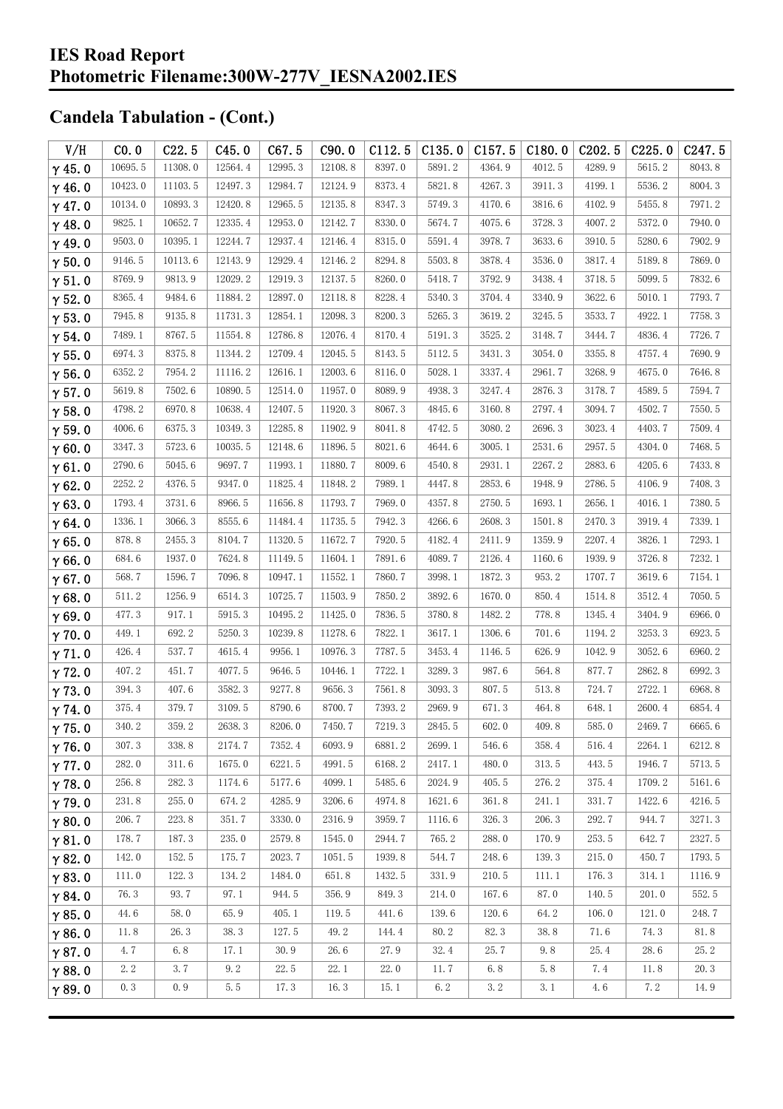| V/H           | CO.0    | C22.5   | C45.0   | C67.5                  | C90.0   | C112.5 | C135.0 | C157.5 | C180.0 | C <sub>2</sub> 02.5 | C225.0 | C247.5 |
|---------------|---------|---------|---------|------------------------|---------|--------|--------|--------|--------|---------------------|--------|--------|
| $\gamma$ 45.0 | 10695.5 | 11308.0 | 12564.4 | 12995.3                | 12108.8 | 8397.0 | 5891.2 | 4364.9 | 4012.5 | 4289.9              | 5615.2 | 8043.8 |
| $\gamma$ 46.0 | 10423.0 | 11103.5 | 12497.3 | 12984.7                | 12124.9 | 8373.4 | 5821.8 | 4267.3 | 3911.3 | 4199.1              | 5536.2 | 8004.3 |
| $\gamma$ 47.0 | 10134.0 | 10893.3 | 12420.8 | 12965.5                | 12135.8 | 8347.3 | 5749.3 | 4170.6 | 3816.6 | 4102.9              | 5455.8 | 7971.2 |
| $\gamma$ 48.0 | 9825.1  | 10652.7 | 12335.4 | 12953.0                | 12142.7 | 8330.0 | 5674.7 | 4075.6 | 3728.3 | 4007.2              | 5372.0 | 7940.0 |
| $\gamma$ 49.0 | 9503.0  | 10395.1 | 12244.7 | 12937.4                | 12146.4 | 8315.0 | 5591.4 | 3978.7 | 3633.6 | 3910.5              | 5280.6 | 7902.9 |
| $\gamma$ 50.0 | 9146.5  | 10113.6 | 12143.9 | 12929.4                | 12146.2 | 8294.8 | 5503.8 | 3878.4 | 3536.0 | 3817.4              | 5189.8 | 7869.0 |
| $\gamma$ 51.0 | 8769.9  | 9813.9  | 12029.2 | 12919.3                | 12137.5 | 8260.0 | 5418.7 | 3792.9 | 3438.4 | 3718.5              | 5099.5 | 7832.6 |
| $\gamma$ 52.0 | 8365.4  | 9484.6  | 11884.2 | 12897.0                | 12118.8 | 8228.4 | 5340.3 | 3704.4 | 3340.9 | 3622.6              | 5010.1 | 7793.7 |
| $\gamma$ 53.0 | 7945.8  | 9135.8  | 11731.3 | 12854.1                | 12098.3 | 8200.3 | 5265.3 | 3619.2 | 3245.5 | 3533.7              | 4922.1 | 7758.3 |
| $\gamma$ 54.0 | 7489.1  | 8767.5  | 11554.8 | 12786.8                | 12076.4 | 8170.4 | 5191.3 | 3525.2 | 3148.7 | 3444.7              | 4836.4 | 7726.7 |
| $\gamma$ 55.0 | 6974.3  | 8375.8  | 11344.2 | 12709.4                | 12045.5 | 8143.5 | 5112.5 | 3431.3 | 3054.0 | 3355.8              | 4757.4 | 7690.9 |
| $\gamma$ 56.0 | 6352.2  | 7954.2  | 11116.2 | 12616.1                | 12003.6 | 8116.0 | 5028.1 | 3337.4 | 2961.7 | 3268.9              | 4675.0 | 7646.8 |
| $\gamma$ 57.0 | 5619.8  | 7502.6  | 10890.5 | 12514.0                | 11957.0 | 8089.9 | 4938.3 | 3247.4 | 2876.3 | 3178.7              | 4589.5 | 7594.7 |
| $\gamma$ 58.0 | 4798.2  | 6970.8  | 10638.4 | 12407.5                | 11920.3 | 8067.3 | 4845.6 | 3160.8 | 2797.4 | 3094.7              | 4502.7 | 7550.5 |
| $\gamma$ 59.0 | 4006.6  | 6375.3  | 10349.3 | 12285.8                | 11902.9 | 8041.8 | 4742.5 | 3080.2 | 2696.3 | 3023.4              | 4403.7 | 7509.4 |
| $\gamma$ 60.0 | 3347.3  | 5723.6  | 10035.5 | 12148.6                | 11896.5 | 8021.6 | 4644.6 | 3005.1 | 2531.6 | 2957.5              | 4304.0 | 7468.5 |
| $\gamma$ 61.0 | 2790.6  | 5045.6  | 9697.7  | 11993.1                | 11880.7 | 8009.6 | 4540.8 | 2931.1 | 2267.2 | 2883.6              | 4205.6 | 7433.8 |
| $\gamma$ 62.0 | 2252.2  | 4376.5  | 9347.0  | 11825.4                | 11848.2 | 7989.1 | 4447.8 | 2853.6 | 1948.9 | 2786.5              | 4106.9 | 7408.3 |
| $\gamma$ 63.0 | 1793.4  | 3731.6  | 8966.5  | 11656.8                | 11793.7 | 7969.0 | 4357.8 | 2750.5 | 1693.1 | 2656.1              | 4016.1 | 7380.5 |
| $\gamma$ 64.0 | 1336.1  | 3066.3  | 8555.6  | 11484.4                | 11735.5 | 7942.3 | 4266.6 | 2608.3 | 1501.8 | 2470.3              | 3919.4 | 7339.1 |
| $\gamma$ 65.0 | 878.8   | 2455.3  | 8104.7  | 11320.5                | 11672.7 | 7920.5 | 4182.4 | 2411.9 | 1359.9 | 2207.4              | 3826.1 | 7293.1 |
| $\gamma$ 66.0 | 684.6   | 1937.0  | 7624.8  | 11149.5                | 11604.1 | 7891.6 | 4089.7 | 2126.4 | 1160.6 | 1939.9              | 3726.8 | 7232.1 |
| $\gamma$ 67.0 | 568.7   | 1596.7  | 7096.8  | 10947.1                | 11552.1 | 7860.7 | 3998.1 | 1872.3 | 953.2  | 1707.7              | 3619.6 | 7154.1 |
| $\gamma$ 68.0 | 511.2   | 1256.9  | 6514.3  | 10725.7                | 11503.9 | 7850.2 | 3892.6 | 1670.0 | 850.4  | 1514.8              | 3512.4 | 7050.5 |
| $\gamma$ 69.0 | 477.3   | 917.1   | 5915.3  | 10495.2                | 11425.0 | 7836.5 | 3780.8 | 1482.2 | 778.8  | 1345.4              | 3404.9 | 6966.0 |
| $\gamma$ 70.0 | 449.1   | 692.2   | 5250.3  | 10239.8                | 11278.6 | 7822.1 | 3617.1 | 1306.6 | 701.6  | 1194.2              | 3253.3 | 6923.5 |
| $\gamma$ 71.0 | 426.4   | 537.7   | 4615.4  | 9956.1                 | 10976.3 | 7787.5 | 3453.4 | 1146.5 | 626.9  | 1042.9              | 3052.6 | 6960.2 |
| $\gamma$ 72.0 | 407.2   | 451.7   | 4077.5  | 9646.5                 | 10446.1 | 7722.1 | 3289.3 | 987.6  | 564.8  | 877.7               | 2862.8 | 6992.3 |
| $\gamma$ 73.0 | 394.3   | 407.6   | 3582.3  | 9277.8                 | 9656.3  | 7561.8 | 3093.3 | 807.5  | 513.8  | 724.7               | 2722.1 | 6968.8 |
| $\gamma$ 74.0 | 375.4   | 379.7   | 3109.5  | 8790.6                 | 8700.7  | 7393.2 | 2969.9 | 671.3  | 464.8  | 648.1               | 2600.4 | 6854.4 |
| $\gamma$ 75.0 | 340.2   | 359.2   | 2638.3  | $8206.\,\allowbreak 0$ | 7450.7  | 7219.3 | 2845.5 | 602.0  | 409.8  | 585.0               | 2469.7 | 6665.6 |
| $\gamma$ 76.0 | 307.3   | 338.8   | 2174.7  | 7352.4                 | 6093.9  | 6881.2 | 2699.1 | 546.6  | 358.4  | 516.4               | 2264.1 | 6212.8 |
| $\gamma$ 77.0 | 282.0   | 311.6   | 1675.0  | 6221.5                 | 4991.5  | 6168.2 | 2417.1 | 480.0  | 313.5  | 443.5               | 1946.7 | 5713.5 |
| $\gamma$ 78.0 | 256.8   | 282.3   | 1174.6  | 5177.6                 | 4099.1  | 5485.6 | 2024.9 | 405.5  | 276.2  | 375.4               | 1709.2 | 5161.6 |
| $\gamma$ 79.0 | 231.8   | 255.0   | 674.2   | 4285.9                 | 3206.6  | 4974.8 | 1621.6 | 361.8  | 241.1  | 331.7               | 1422.6 | 4216.5 |
| $\gamma$ 80.0 | 206.7   | 223.8   | 351.7   | 3330.0                 | 2316.9  | 3959.7 | 1116.6 | 326.3  | 206.3  | 292.7               | 944.7  | 3271.3 |
| $\gamma$ 81.0 | 178.7   | 187.3   | 235.0   | 2579.8                 | 1545.0  | 2944.7 | 765.2  | 288.0  | 170.9  | 253.5               | 642.7  | 2327.5 |
| $\gamma$ 82.0 | 142.0   | 152.5   | 175.7   | 2023.7                 | 1051.5  | 1939.8 | 544.7  | 248.6  | 139.3  | 215.0               | 450.7  | 1793.5 |
| $\gamma$ 83.0 | 111.0   | 122.3   | 134.2   | 1484.0                 | 651.8   | 1432.5 | 331.9  | 210.5  | 111.1  | 176.3               | 314.1  | 1116.9 |
| $\gamma$ 84.0 | 76.3    | 93.7    | 97.1    | 944.5                  | 356.9   | 849.3  | 214.0  | 167.6  | 87.0   | 140.5               | 201.0  | 552.5  |
| $\gamma$ 85.0 | 44.6    | 58.0    | 65.9    | 405.1                  | 119.5   | 441.6  | 139.6  | 120.6  | 64.2   | 106.0               | 121.0  | 248.7  |
| $\gamma$ 86.0 | 11.8    | 26.3    | 38.3    | 127.5                  | 49.2    | 144.4  | 80.2   | 82.3   | 38.8   | 71.6                | 74.3   | 81.8   |
| $\gamma$ 87.0 | 4.7     | 6.8     | 17.1    | 30.9                   | 26.6    | 27.9   | 32.4   | 25.7   | 9.8    | 25.4                | 28.6   | 25.2   |
| $\gamma$ 88.0 | 2.2     | 3.7     | 9.2     | 22.5                   | 22.1    | 22.0   | 11.7   | 6.8    | 5.8    | 7.4                 | 11.8   | 20.3   |
| $\gamma$ 89.0 | 0.3     | 0.9     | 5.5     | 17.3                   | 16.3    | 15.1   | 6.2    | 3.2    | 3.1    | 4.6                 | 7.2    | 14.9   |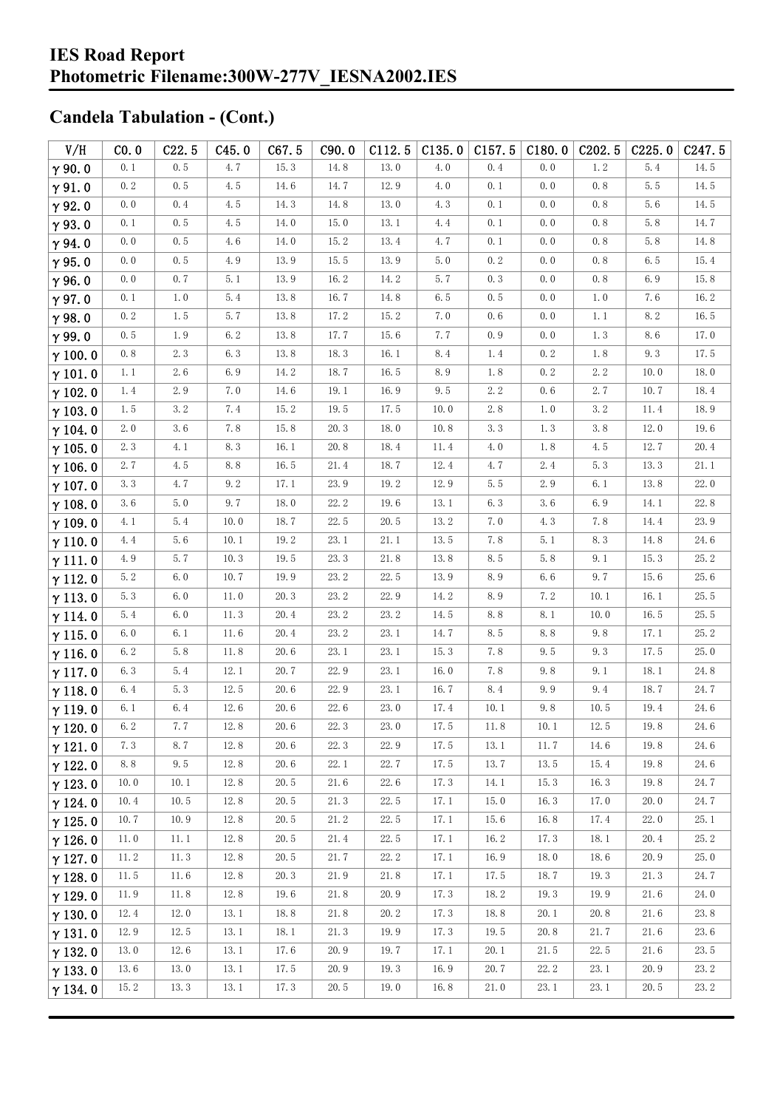| V/H            | CO.0    | C22.5 | C45.0   | C67.5    | C90.0    | C112.5               | C135.0 | C157.5 | C180.0 | C <sub>202.5</sub> | C225.0 | C <sub>247.5</sub>   |
|----------------|---------|-------|---------|----------|----------|----------------------|--------|--------|--------|--------------------|--------|----------------------|
| $\gamma$ 90.0  | 0.1     | 0.5   | 4.7     | 15.3     | 14.8     | 13.0                 | 4.0    | 0.4    | 0.0    | 1.2                | 5.4    | 14.5                 |
| $\gamma$ 91.0  | 0.2     | 0.5   | 4.5     | $14.6\,$ | 14.7     | 12.9                 | 4.0    | 0.1    | 0.0    | 0.8                | 5.5    | 14.5                 |
| $\gamma$ 92.0  | 0.0     | 0.4   | 4.5     | 14.3     | 14.8     | 13.0                 | 4.3    | 0.1    | 0.0    | 0.8                | 5.6    | 14.5                 |
| $\gamma$ 93.0  | 0.1     | 0.5   | 4.5     | $14.0$   | 15.0     | 13.1                 | 4.4    | 0.1    | 0.0    | 0.8                | 5.8    | 14.7                 |
| $\gamma$ 94.0  | 0.0     | 0.5   | 4.6     | 14.0     | 15.2     | 13.4                 | 4.7    | 0.1    | 0.0    | 0.8                | 5.8    | 14.8                 |
| $\gamma$ 95.0  | 0.0     | 0.5   | 4.9     | 13.9     | 15.5     | 13.9                 | 5.0    | 0.2    | 0.0    | 0.8                | 6.5    | 15.4                 |
| $\gamma$ 96.0  | 0.0     | 0.7   | 5.1     | 13.9     | 16.2     | 14.2                 | 5.7    | 0.3    | 0.0    | 0.8                | 6.9    | 15.8                 |
| $\gamma$ 97.0  | 0.1     | 1.0   | 5.4     | 13.8     | 16.7     | 14.8                 | 6.5    | 0.5    | 0.0    | 1.0                | 7.6    | 16.2                 |
| $\gamma$ 98.0  | 0.2     | 1.5   | 5.7     | 13.8     | 17.2     | 15.2                 | 7.0    | 0.6    | 0.0    | 1.1                | 8.2    | 16.5                 |
| $\gamma$ 99.0  | 0.5     | 1.9   | 6.2     | 13.8     | 17.7     | 15.6                 | 7.7    | 0.9    | 0.0    | 1.3                | 8.6    | 17.0                 |
| $\gamma$ 100.0 | 0.8     | 2.3   | 6.3     | 13.8     | 18.3     | 16.1                 | 8.4    | 1.4    | 0.2    | 1.8                | 9.3    | 17.5                 |
| $\gamma$ 101.0 | 1.1     | 2.6   | 6.9     | 14.2     | 18.7     | 16.5                 | 8.9    | 1.8    | 0.2    | 2.2                | 10.0   | 18.0                 |
| $\gamma$ 102.0 | 1.4     | 2.9   | 7.0     | $14.6\,$ | 19.1     | 16.9                 | 9.5    | 2.2    | 0.6    | 2.7                | 10.7   | 18.4                 |
| $\gamma$ 103.0 | 1.5     | 3.2   | 7.4     | 15.2     | 19.5     | 17.5                 | 10.0   | 2.8    | 1.0    | 3.2                | 11.4   | 18.9                 |
| $\gamma$ 104.0 | 2.0     | 3.6   | 7.8     | $15.\,8$ | 20.3     | 18.0                 | 10.8   | 3.3    | 1.3    | 3.8                | 12.0   | 19.6                 |
| $\gamma$ 105.0 | 2.3     | 4.1   | $8.\,3$ | 16.1     | 20.8     | 18.4                 | 11.4   | 4.0    | 1.8    | 4.5                | 12.7   | 20.4                 |
| $\gamma$ 106.0 | 2.7     | 4.5   | 8.8     | 16.5     | 21.4     | 18.7                 | 12.4   | 4.7    | 2.4    | 5.3                | 13.3   | 21.1                 |
| $\gamma$ 107.0 | 3.3     | 4.7   | 9.2     | 17.1     | 23.9     | 19.2                 | 12.9   | 5.5    | 2.9    | 6.1                | 13.8   | 22.0                 |
| $\gamma$ 108.0 | 3.6     | 5.0   | 9.7     | 18.0     | 22.2     | 19.6                 | 13.1   | 6.3    | 3.6    | 6.9                | 14.1   | 22.8                 |
| $\gamma$ 109.0 | 4.1     | 5.4   | $10.0$  | 18.7     | 22.5     | 20.5                 | 13.2   | 7.0    | 4.3    | 7.8                | 14.4   | 23.9                 |
| $\gamma$ 110.0 | 4.4     | 5.6   | 10.1    | 19.2     | 23.1     | 21.1                 | 13.5   | 7.8    | 5.1    | 8.3                | 14.8   | 24.6                 |
| $\gamma$ 111.0 | 4.9     | 5.7   | 10.3    | 19.5     | 23.3     | 21.8                 | 13.8   | 8.5    | 5.8    | 9.1                | 15.3   | 25.2                 |
| $\gamma$ 112.0 | 5.2     | $6.0$ | 10.7    | 19.9     | 23.2     | 22.5                 | 13.9   | 8.9    | 6.6    | 9.7                | 15.6   | 25.6                 |
| $\gamma$ 113.0 | 5.3     | 6.0   | 11.0    | 20.3     | 23.2     | 22.9                 | 14.2   | 8.9    | 7.2    | 10.1               | 16.1   | 25.5                 |
| $\gamma$ 114.0 | 5.4     | 6.0   | 11.3    | 20.4     | 23.2     | 23.2                 | 14.5   | 8.8    | 8.1    | 10.0               | 16.5   | 25.5                 |
| $\gamma$ 115.0 | 6.0     | 6.1   | 11.6    | 20.4     | 23.2     | 23.1                 | 14.7   | 8.5    | 8.8    | 9.8                | 17.1   | 25.2                 |
| $\gamma$ 116.0 | 6.2     | 5.8   | 11.8    | 20.6     | 23.1     | 23.1                 | 15.3   | 7.8    | 9.5    | 9.3                | 17.5   | 25.0                 |
| $\gamma$ 117.0 | 6.3     | 5.4   | 12.1    | 20.7     | 22.9     | 23.1                 | 16.0   | 7.8    | 9.8    | 9.1                | 18.1   | 24.8                 |
| $\gamma$ 118.0 | 6.4     | 5.3   | 12.5    | 20.6     | 22.9     | 23.1                 | 16.7   | 8.4    | 9.9    | 9.4                | 18.7   | 24.7                 |
| $\gamma$ 119.0 | 6.1     | 6.4   | 12.6    | 20.6     | 22.6     | 23.0                 | 17.4   | 10.1   | 9.8    | 10.5               | 19.4   | 24.6                 |
| $\gamma$ 120.0 | $6.\,2$ | 7.7   | 12.8    | 20.6     | 22.3     | $23.\,\allowbreak 0$ | 17.5   | 11.8   | $10.1$ | 12.5               | 19.8   | $24.\,\allowbreak 6$ |
| $\gamma$ 121.0 | 7.3     | 8.7   | 12.8    | 20.6     | 22.3     | 22.9                 | 17.5   | 13.1   | 11.7   | 14.6               | 19.8   | 24.6                 |
| $\gamma$ 122.0 | 8.8     | 9.5   | 12.8    | 20.6     | 22.1     | 22.7                 | 17.5   | 13.7   | 13.5   | 15.4               | 19.8   | 24.6                 |
| $\gamma$ 123.0 | 10.0    | 10.1  | 12.8    | 20.5     | $21.6\,$ | 22.6                 | 17.3   | 14.1   | 15.3   | 16.3               | 19.8   | 24.7                 |
| $\gamma$ 124.0 | 10.4    | 10.5  | 12.8    | 20.5     | 21.3     | 22.5                 | 17.1   | 15.0   | 16.3   | 17.0               | 20.0   | 24.7                 |
| $\gamma$ 125.0 | 10.7    | 10.9  | 12.8    | 20.5     | 21.2     | 22.5                 | 17.1   | 15.6   | 16.8   | 17.4               | 22.0   | 25.1                 |
| $\gamma$ 126.0 | 11.0    | 11.1  | 12.8    | 20.5     | 21.4     | 22.5                 | 17.1   | 16.2   | 17.3   | 18.1               | 20.4   | 25.2                 |
| $\gamma$ 127.0 | 11.2    | 11.3  | 12.8    | 20.5     | 21.7     | 22.2                 | 17.1   | 16.9   | 18.0   | 18.6               | 20.9   | 25.0                 |
| $\gamma$ 128.0 | 11.5    | 11.6  | 12.8    | 20.3     | 21.9     | 21.8                 | 17.1   | 17.5   | 18.7   | 19.3               | 21.3   | 24.7                 |
| $\gamma$ 129.0 | 11.9    | 11.8  | 12.8    | 19.6     | 21.8     | 20.9                 | 17.3   | 18.2   | 19.3   | 19.9               | 21.6   | 24.0                 |
| $\gamma$ 130.0 | 12.4    | 12.0  | 13.1    | 18.8     | 21.8     | 20.2                 | 17.3   | 18.8   | 20.1   | 20.8               | 21.6   | 23.8                 |
| $\gamma$ 131.0 | 12.9    | 12.5  | 13.1    | 18.1     | 21.3     | 19.9                 | 17.3   | 19.5   | 20.8   | 21.7               | 21.6   | 23.6                 |
| $\gamma$ 132.0 | 13.0    | 12.6  | 13.1    | 17.6     | 20.9     | 19.7                 | 17.1   | 20.1   | 21.5   | 22.5               | 21.6   | 23.5                 |
| $\gamma$ 133.0 | 13.6    | 13.0  | 13.1    | 17.5     | 20.9     | 19.3                 | 16.9   | 20.7   | 22.2   | 23.1               | 20.9   | 23.2                 |
| $\gamma$ 134.0 | 15.2    | 13.3  | 13.1    | 17.3     | 20.5     | 19.0                 | 16.8   | 21.0   | 23.1   | 23.1               | 20.5   | 23.2                 |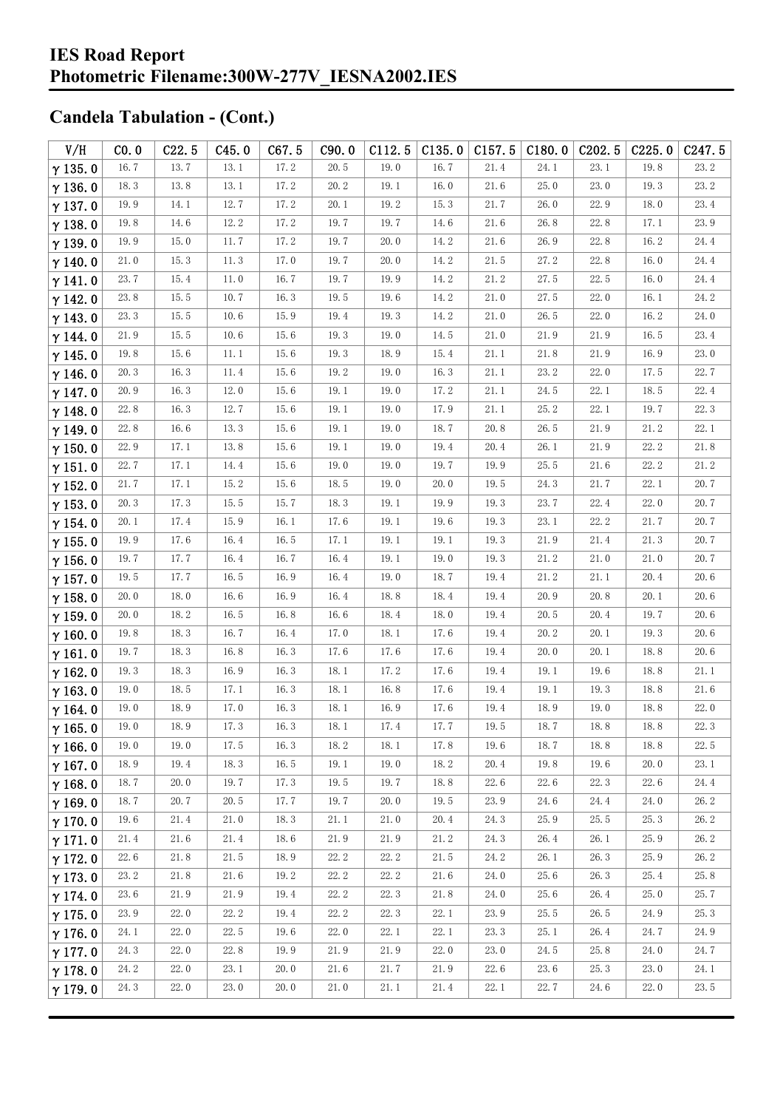| V/H            | CO.0 | C22.5    | C45.0 | C67.5    | C90.0 | C112.5 | C135.0 | C157.5               | C180.0 | C <sub>202.5</sub> | C225.0 | C247.5 |
|----------------|------|----------|-------|----------|-------|--------|--------|----------------------|--------|--------------------|--------|--------|
| $\gamma$ 135.0 | 16.7 | 13.7     | 13.1  | 17.2     | 20.5  | 19.0   | 16.7   | 21.4                 | 24.1   | 23.1               | 19.8   | 23.2   |
| $\gamma$ 136.0 | 18.3 | 13.8     | 13.1  | 17.2     | 20.2  | 19.1   | 16.0   | 21.6                 | 25.0   | 23.0               | 19.3   | 23.2   |
| $\gamma$ 137.0 | 19.9 | 14.1     | 12.7  | 17.2     | 20.1  | 19.2   | 15.3   | 21.7                 | 26.0   | 22.9               | 18.0   | 23.4   |
| $\gamma$ 138.0 | 19.8 | $14.6$   | 12.2  | 17.2     | 19.7  | 19.7   | 14.6   | 21.6                 | 26.8   | 22.8               | 17.1   | 23.9   |
| $\gamma$ 139.0 | 19.9 | 15.0     | 11.7  | 17.2     | 19.7  | 20.0   | 14.2   | 21.6                 | 26.9   | 22.8               | 16.2   | 24.4   |
| $\gamma$ 140.0 | 21.0 | 15.3     | 11.3  | 17.0     | 19.7  | 20.0   | 14.2   | $21.\,\allowbreak 5$ | 27.2   | 22.8               | 16.0   | 24.4   |
| $\gamma$ 141.0 | 23.7 | 15.4     | 11.0  | 16.7     | 19.7  | 19.9   | 14.2   | 21.2                 | 27.5   | 22.5               | 16.0   | 24.4   |
| $\gamma$ 142.0 | 23.8 | 15.5     | 10.7  | 16.3     | 19.5  | 19.6   | 14.2   | 21.0                 | 27.5   | 22.0               | 16.1   | 24.2   |
| $\gamma$ 143.0 | 23.3 | 15.5     | 10.6  | 15.9     | 19.4  | 19.3   | 14.2   | 21.0                 | 26.5   | 22.0               | 16.2   | 24.0   |
| $\gamma$ 144.0 | 21.9 | 15.5     | 10.6  | 15.6     | 19.3  | 19.0   | 14.5   | 21.0                 | 21.9   | 21.9               | 16.5   | 23.4   |
| $\gamma$ 145.0 | 19.8 | 15.6     | 11.1  | $15.6\,$ | 19.3  | 18.9   | 15.4   | 21.1                 | 21.8   | 21.9               | 16.9   | 23.0   |
| $\gamma$ 146.0 | 20.3 | 16.3     | 11.4  | 15.6     | 19.2  | 19.0   | 16.3   | 21.1                 | 23.2   | 22.0               | 17.5   | 22.7   |
| $\gamma$ 147.0 | 20.9 | 16.3     | 12.0  | 15.6     | 19.1  | 19.0   | 17.2   | 21.1                 | 24.5   | 22.1               | 18.5   | 22.4   |
| $\gamma$ 148.0 | 22.8 | 16.3     | 12.7  | 15.6     | 19.1  | 19.0   | 17.9   | 21.1                 | 25.2   | 22.1               | 19.7   | 22.3   |
| $\gamma$ 149.0 | 22.8 | $16.6\,$ | 13.3  | $15.6\,$ | 19.1  | 19.0   | 18.7   | 20.8                 | 26.5   | 21.9               | 21.2   | 22.1   |
| $\gamma$ 150.0 | 22.9 | 17.1     | 13.8  | $15.6\,$ | 19.1  | 19.0   | 19.4   | 20.4                 | 26.1   | 21.9               | 22.2   | 21.8   |
| $\gamma$ 151.0 | 22.7 | 17.1     | 14.4  | $15.6\,$ | 19.0  | 19.0   | 19.7   | 19.9                 | 25.5   | 21.6               | 22.2   | 21.2   |
| $\gamma$ 152.0 | 21.7 | 17.1     | 15.2  | $15.6\,$ | 18.5  | 19.0   | 20.0   | 19.5                 | 24.3   | 21.7               | 22.1   | 20.7   |
| $\gamma$ 153.0 | 20.3 | 17.3     | 15.5  | 15.7     | 18.3  | 19.1   | 19.9   | 19.3                 | 23.7   | 22.4               | 22.0   | 20.7   |
| $\gamma$ 154.0 | 20.1 | 17.4     | 15.9  | 16.1     | 17.6  | 19.1   | 19.6   | 19.3                 | 23.1   | 22.2               | 21.7   | 20.7   |
| $\gamma$ 155.0 | 19.9 | 17.6     | 16.4  | 16.5     | 17.1  | 19.1   | 19.1   | 19.3                 | 21.9   | 21.4               | 21.3   | 20.7   |
| $\gamma$ 156.0 | 19.7 | 17.7     | 16.4  | 16.7     | 16.4  | 19.1   | 19.0   | 19.3                 | 21.2   | 21.0               | 21.0   | 20.7   |
| $\gamma$ 157.0 | 19.5 | 17.7     | 16.5  | 16.9     | 16.4  | 19.0   | 18.7   | 19.4                 | 21.2   | 21.1               | 20.4   | 20.6   |
| $\gamma$ 158.0 | 20.0 | 18.0     | 16.6  | 16.9     | 16.4  | 18.8   | 18.4   | 19.4                 | 20.9   | 20.8               | 20.1   | 20.6   |
| $\gamma$ 159.0 | 20.0 | 18.2     | 16.5  | 16.8     | 16.6  | 18.4   | 18.0   | 19.4                 | 20.5   | 20.4               | 19.7   | 20.6   |
| $\gamma$ 160.0 | 19.8 | 18.3     | 16.7  | 16.4     | 17.0  | 18.1   | 17.6   | 19.4                 | 20.2   | 20.1               | 19.3   | 20.6   |
| $\gamma$ 161.0 | 19.7 | 18.3     | 16.8  | 16.3     | 17.6  | 17.6   | 17.6   | 19.4                 | 20.0   | 20.1               | 18.8   | 20.6   |
| $\gamma$ 162.0 | 19.3 | 18.3     | 16.9  | 16.3     | 18.1  | 17.2   | 17.6   | 19.4                 | 19.1   | 19.6               | 18.8   | 21.1   |
| $\gamma$ 163.0 | 19.0 | 18.5     | 17.1  | 16.3     | 18.1  | 16.8   | 17.6   | 19.4                 | 19.1   | 19.3               | 18.8   | 21.6   |
| $\gamma$ 164.0 | 19.0 | 18.9     | 17.0  | 16.3     | 18.1  | 16.9   | 17.6   | 19.4                 | 18.9   | 19.0               | 18.8   | 22.0   |
| $\gamma$ 165.0 | 19.0 | 18.9     | 17.3  | 16.3     | 18.1  | 17.4   | 17.7   | 19.5                 | 18.7   | $18.8\,$           | 18.8   | 22.3   |
| $\gamma$ 166.0 | 19.0 | 19.0     | 17.5  | 16.3     | 18.2  | 18.1   | 17.8   | 19.6                 | 18.7   | 18.8               | 18.8   | 22.5   |
| $\gamma$ 167.0 | 18.9 | 19.4     | 18.3  | 16.5     | 19.1  | 19.0   | 18.2   | 20.4                 | 19.8   | 19.6               | 20.0   | 23.1   |
| $\gamma$ 168.0 | 18.7 | 20.0     | 19.7  | 17.3     | 19.5  | 19.7   | 18.8   | 22.6                 | 22.6   | 22.3               | 22.6   | 24.4   |
| $\gamma$ 169.0 | 18.7 | 20.7     | 20.5  | 17.7     | 19.7  | 20.0   | 19.5   | 23.9                 | 24.6   | 24.4               | 24.0   | 26.2   |
| $\gamma$ 170.0 | 19.6 | 21.4     | 21.0  | 18.3     | 21.1  | 21.0   | 20.4   | 24.3                 | 25.9   | 25.5               | 25.3   | 26.2   |
| $\gamma$ 171.0 | 21.4 | 21.6     | 21.4  | 18.6     | 21.9  | 21.9   | 21.2   | 24.3                 | 26.4   | 26.1               | 25.9   | 26.2   |
| $\gamma$ 172.0 | 22.6 | 21.8     | 21.5  | 18.9     | 22.2  | 22.2   | 21.5   | 24.2                 | 26.1   | 26.3               | 25.9   | 26.2   |
| $\gamma$ 173.0 | 23.2 | 21.8     | 21.6  | 19.2     | 22.2  | 22.2   | 21.6   | 24.0                 | 25.6   | 26.3               | 25.4   | 25.8   |
| $\gamma$ 174.0 | 23.6 | 21.9     | 21.9  | 19.4     | 22.2  | 22.3   | 21.8   | 24.0                 | 25.6   | 26.4               | 25.0   | 25.7   |
| $\gamma$ 175.0 | 23.9 | 22.0     | 22.2  | 19.4     | 22.2  | 22.3   | 22.1   | 23.9                 | 25.5   | 26.5               | 24.9   | 25.3   |
| $\gamma$ 176.0 | 24.1 | 22.0     | 22.5  | 19.6     | 22.0  | 22.1   | 22.1   | 23.3                 | 25.1   | 26.4               | 24.7   | 24.9   |
| $\gamma$ 177.0 | 24.3 | 22.0     | 22.8  | 19.9     | 21.9  | 21.9   | 22.0   | 23.0                 | 24.5   | 25.8               | 24.0   | 24.7   |
| $\gamma$ 178.0 | 24.2 | 22.0     | 23.1  | 20.0     | 21.6  | 21.7   | 21.9   | 22.6                 | 23.6   | 25.3               | 23.0   | 24.1   |
| $\gamma$ 179.0 | 24.3 | 22.0     | 23.0  | 20.0     | 21.0  | 21.1   | 21.4   | 22.1                 | 22.7   | 24.6               | 22.0   | 23.5   |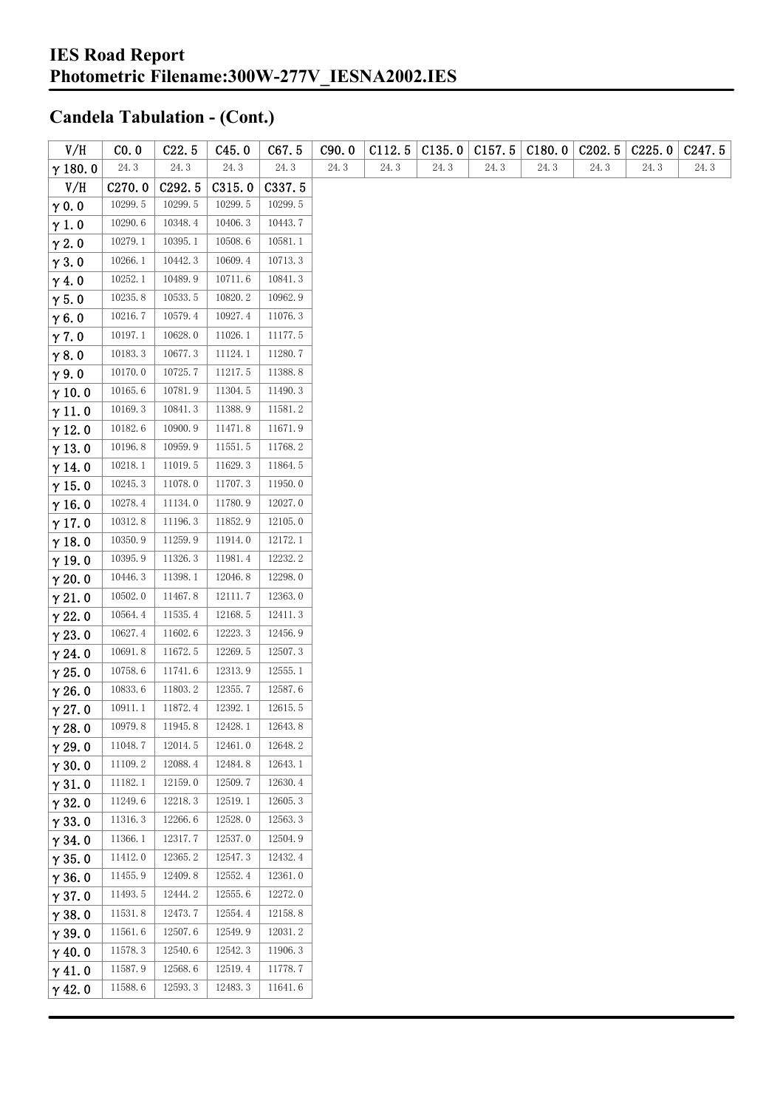| V/H            | CO. 0              | C22.5              | C45.0   | C67.5   | C90.0 | C112.5 | C135.0 | C157.5 | C180.0 | C <sub>2</sub> 02.5 | C225.0 | C <sub>247.5</sub> |
|----------------|--------------------|--------------------|---------|---------|-------|--------|--------|--------|--------|---------------------|--------|--------------------|
| $\gamma$ 180.0 | 24.3               | 24.3               | 24.3    | 24.3    | 24.3  | 24.3   | 24.3   | 24.3   | 24.3   | 24.3                | 24.3   | 24.3               |
| V/H            | C <sub>270.0</sub> | C <sub>292.5</sub> | C315.0  | C337.5  |       |        |        |        |        |                     |        |                    |
| $\gamma$ 0.0   | 10299.5            | 10299.5            | 10299.5 | 10299.5 |       |        |        |        |        |                     |        |                    |
| $\gamma$ 1.0   | 10290.6            | 10348.4            | 10406.3 | 10443.7 |       |        |        |        |        |                     |        |                    |
| $\gamma$ 2.0   | 10279.1            | 10395.1            | 10508.6 | 10581.1 |       |        |        |        |        |                     |        |                    |
| $\gamma$ 3.0   | 10266.1            | 10442.3            | 10609.4 | 10713.3 |       |        |        |        |        |                     |        |                    |
| $\gamma$ 4.0   | 10252.1            | 10489.9            | 10711.6 | 10841.3 |       |        |        |        |        |                     |        |                    |
| $\gamma$ 5.0   | 10235.8            | 10533.5            | 10820.2 | 10962.9 |       |        |        |        |        |                     |        |                    |
| $\gamma$ 6.0   | 10216.7            | 10579.4            | 10927.4 | 11076.3 |       |        |        |        |        |                     |        |                    |
| $\gamma$ 7.0   | 10197.1            | 10628.0            | 11026.1 | 11177.5 |       |        |        |        |        |                     |        |                    |
| $\gamma$ 8.0   | 10183.3            | 10677.3            | 11124.1 | 11280.7 |       |        |        |        |        |                     |        |                    |
| $\gamma$ 9.0   | 10170.0            | 10725.7            | 11217.5 | 11388.8 |       |        |        |        |        |                     |        |                    |
| $\gamma$ 10.0  | 10165.6            | 10781.9            | 11304.5 | 11490.3 |       |        |        |        |        |                     |        |                    |
| $\gamma$ 11.0  | 10169.3            | 10841.3            | 11388.9 | 11581.2 |       |        |        |        |        |                     |        |                    |
| $\gamma$ 12.0  | 10182.6            | 10900.9            | 11471.8 | 11671.9 |       |        |        |        |        |                     |        |                    |
| $\gamma$ 13.0  | 10196.8            | 10959.9            | 11551.5 | 11768.2 |       |        |        |        |        |                     |        |                    |
| $\gamma$ 14.0  | 10218.1            | 11019.5            | 11629.3 | 11864.5 |       |        |        |        |        |                     |        |                    |
| $\gamma$ 15.0  | 10245.3            | 11078.0            | 11707.3 | 11950.0 |       |        |        |        |        |                     |        |                    |
| $\gamma$ 16.0  | 10278.4            | 11134.0            | 11780.9 | 12027.0 |       |        |        |        |        |                     |        |                    |
| $\gamma$ 17.0  | 10312.8            | 11196.3            | 11852.9 | 12105.0 |       |        |        |        |        |                     |        |                    |
| $\gamma$ 18.0  | 10350.9            | 11259.9            | 11914.0 | 12172.1 |       |        |        |        |        |                     |        |                    |
| $\gamma$ 19.0  | 10395.9            | 11326.3            | 11981.4 | 12232.2 |       |        |        |        |        |                     |        |                    |
| $\gamma$ 20.0  | 10446.3            | 11398.1            | 12046.8 | 12298.0 |       |        |        |        |        |                     |        |                    |
| $\gamma$ 21.0  | 10502.0            | 11467.8            | 12111.7 | 12363.0 |       |        |        |        |        |                     |        |                    |
| $\gamma$ 22.0  | 10564.4            | 11535.4            | 12168.5 | 12411.3 |       |        |        |        |        |                     |        |                    |
| $\gamma$ 23.0  | 10627.4            | 11602.6            | 12223.3 | 12456.9 |       |        |        |        |        |                     |        |                    |
| $\gamma$ 24.0  | 10691.8            | 11672.5            | 12269.5 | 12507.3 |       |        |        |        |        |                     |        |                    |
| $\gamma$ 25.0  | 10758.6            | 11741.6            | 12313.9 | 12555.1 |       |        |        |        |        |                     |        |                    |
| $\gamma$ 26.0  | 10833.6            | 11803.2            | 12355.7 | 12587.6 |       |        |        |        |        |                     |        |                    |
| $\gamma$ 27.0  | 10911.1            | 11872.4            | 12392.1 | 12615.5 |       |        |        |        |        |                     |        |                    |
| $\gamma$ 28.0  | 10979.8            | 11945.8            | 12428.1 | 12643.8 |       |        |        |        |        |                     |        |                    |
| $\gamma$ 29.0  | 11048.7            | 12014.5            | 12461.0 | 12648.2 |       |        |        |        |        |                     |        |                    |
| $\gamma$ 30.0  | 11109.2            | 12088.4            | 12484.8 | 12643.1 |       |        |        |        |        |                     |        |                    |
| $\gamma$ 31.0  | 11182.1            | 12159.0            | 12509.7 | 12630.4 |       |        |        |        |        |                     |        |                    |
| $\gamma$ 32.0  | 11249.6            | 12218.3            | 12519.1 | 12605.3 |       |        |        |        |        |                     |        |                    |
| $\gamma$ 33.0  | 11316.3            | 12266.6            | 12528.0 | 12563.3 |       |        |        |        |        |                     |        |                    |
| $\gamma$ 34.0  | 11366.1            | 12317.7            | 12537.0 | 12504.9 |       |        |        |        |        |                     |        |                    |
| $\gamma$ 35.0  | 11412.0            | 12365.2            | 12547.3 | 12432.4 |       |        |        |        |        |                     |        |                    |
| $\gamma$ 36.0  | 11455.9            | 12409.8            | 12552.4 | 12361.0 |       |        |        |        |        |                     |        |                    |
| $\gamma$ 37.0  | 11493.5            | 12444.2            | 12555.6 | 12272.0 |       |        |        |        |        |                     |        |                    |
| $\gamma$ 38.0  | 11531.8            | 12473.7            | 12554.4 | 12158.8 |       |        |        |        |        |                     |        |                    |
| $\gamma$ 39.0  | 11561.6            | 12507.6            | 12549.9 | 12031.2 |       |        |        |        |        |                     |        |                    |
| $\gamma$ 40.0  | 11578.3            | 12540.6            | 12542.3 | 11906.3 |       |        |        |        |        |                     |        |                    |
| $\gamma$ 41.0  | 11587.9            | 12568.6            | 12519.4 | 11778.7 |       |        |        |        |        |                     |        |                    |
| $\gamma$ 42.0  | 11588.6            | 12593.3            | 12483.3 | 11641.6 |       |        |        |        |        |                     |        |                    |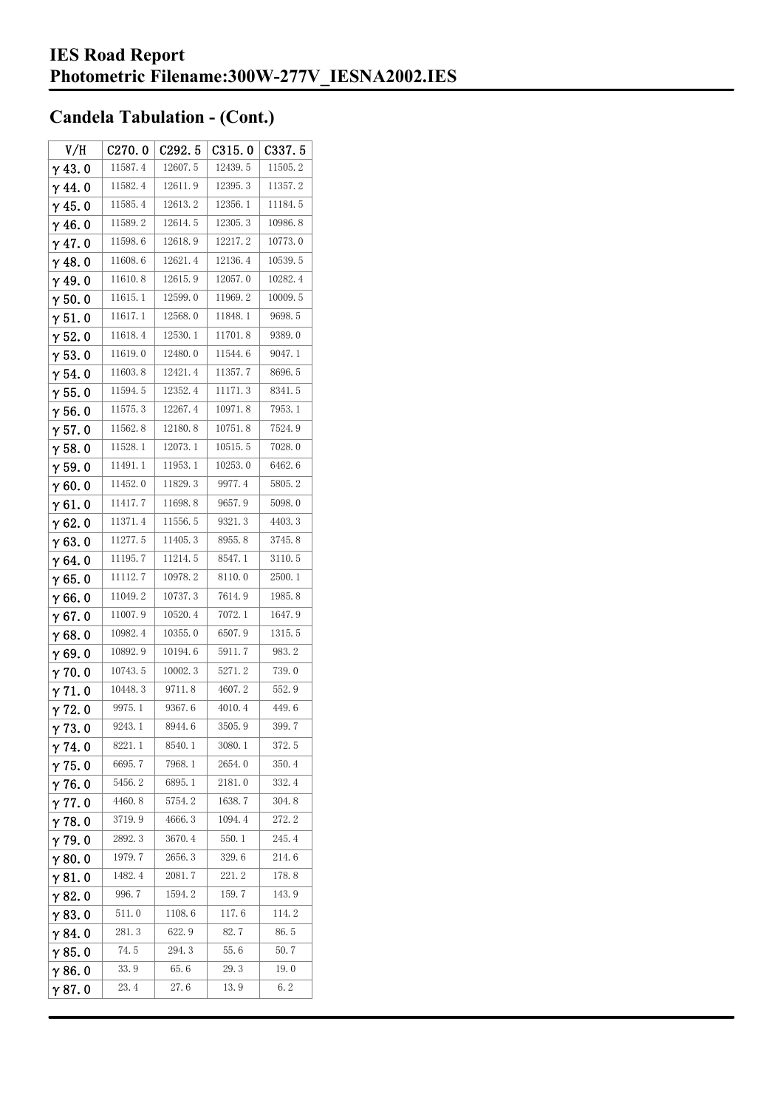| V/H            | C270.0  | C <sub>292.5</sub> | C315.0  | C337.5  |
|----------------|---------|--------------------|---------|---------|
| $\gamma$ 43.0  | 11587.4 | 12607.5            | 12439.5 | 11505.2 |
| $\gamma$ 44.0  | 11582.4 | 12611.9            | 12395.3 | 11357.2 |
| $\gamma$ 45. 0 | 11585.4 | 12613.2            | 12356.1 | 11184.5 |
| $\gamma$ 46.0  | 11589.2 | 12614.5            | 12305.3 | 10986.8 |
| $\gamma$ 47.0  | 11598.6 | 12618.9            | 12217.2 | 10773.0 |
| $\gamma$ 48.0  | 11608.6 | 12621.4            | 12136.4 | 10539.5 |
| $\gamma$ 49.0  | 11610.8 | 12615.9            | 12057.0 | 10282.4 |
| $\gamma$ 50.0  | 11615.1 | 12599.0            | 11969.2 | 10009.5 |
| $\gamma$ 51. 0 | 11617.1 | 12568.0            | 11848.1 | 9698.5  |
| $\gamma$ 52.0  | 11618.4 | 12530.1            | 11701.8 | 9389.0  |
| $\gamma$ 53.0  | 11619.0 | 12480.0            | 11544.6 | 9047.1  |
| $\gamma$ 54.0  | 11603.8 | 12421.4            | 11357.7 | 8696.5  |
| $\gamma$ 55.0  | 11594.5 | 12352.4            | 11171.3 | 8341.5  |
| $\gamma$ 56.0  | 11575.3 | 12267.4            | 10971.8 | 7953.1  |
| $\gamma$ 57.0  | 11562.8 | 12180.8            | 10751.8 | 7524.9  |
| $\gamma$ 58.0  | 11528.1 | 12073.1            | 10515.5 | 7028.0  |
| $\gamma$ 59.0  | 11491.1 | 11953.1            | 10253.0 | 6462.6  |
| $\gamma$ 60.0  | 11452.0 | 11829.3            | 9977.4  | 5805.2  |
| $\gamma$ 61.0  | 11417.7 | 11698.8            | 9657.9  | 5098.0  |
| $\gamma$ 62.0  | 11371.4 | 11556.5            | 9321.3  | 4403.3  |
| $\gamma$ 63. O | 11277.5 | 11405.3            | 8955.8  | 3745.8  |
| γ64.0          | 11195.7 | 11214.5            | 8547.1  | 3110.5  |
| $\gamma$ 65.0  | 11112.7 | 10978.2            | 8110.0  | 2500.1  |
| $\gamma$ 66.0  | 11049.2 | 10737.3            | 7614.9  | 1985.8  |
| $\gamma$ 67.0  | 11007.9 | 10520.4            | 7072.1  | 1647.9  |
| $\gamma$ 68.0  | 10982.4 | 10355.0            | 6507.9  | 1315.5  |
| $\gamma$ 69.0  | 10892.9 | 10194.6            | 5911.7  | 983.2   |
| $\gamma$ 70.0  | 10743.5 | 10002.3            | 5271.2  | 739.0   |
| $\gamma$ 71.0  | 10448.3 | 9711.8             | 4607.2  | 552.9   |
| $\gamma$ 72.0  | 9975.1  | 9367.6             | 4010.4  | 449.6   |
| $\gamma$ 73.0  | 9243.1  | 8944.6             | 3505.9  | 399.7   |
| $\gamma$ 74.0  | 8221.1  | 8540.1             | 3080.1  | 372.5   |
| $\gamma$ 75.0  | 6695.7  | 7968.1             | 2654.0  | 350.4   |
| $\gamma$ 76.0  | 5456.2  | 6895.1             | 2181.0  | 332.4   |
| $\gamma$ 77.0  | 4460.8  | 5754.2             | 1638.7  | 304.8   |
| $\gamma$ 78.0  | 3719.9  | 4666.3             | 1094.4  | 272.2   |
| $\gamma$ 79.0  | 2892.3  | 3670.4             | 550.1   | 245.4   |
| $\gamma$ 80.0  | 1979.7  | 2656.3             | 329.6   | 214.6   |
| $\gamma$ 81. 0 | 1482.4  | 2081.7             | 221.2   | 178.8   |
| $\gamma$ 82.0  | 996.7   | 1594.2             | 159.7   | 143.9   |
| $\gamma$ 83.0  | 511.0   | 1108.6             | 117.6   | 114.2   |
| $\gamma$ 84.0  | 281.3   | 622.9              | 82.7    | 86.5    |
| $\gamma$ 85.0  | 74.5    | 294.3              | 55.6    | 50.7    |
| $\gamma$ 86.0  | 33.9    | 65.6               | 29.3    | 19.0    |
| γ87.0          | 23.4    | 27.6               | 13.9    | 6.2     |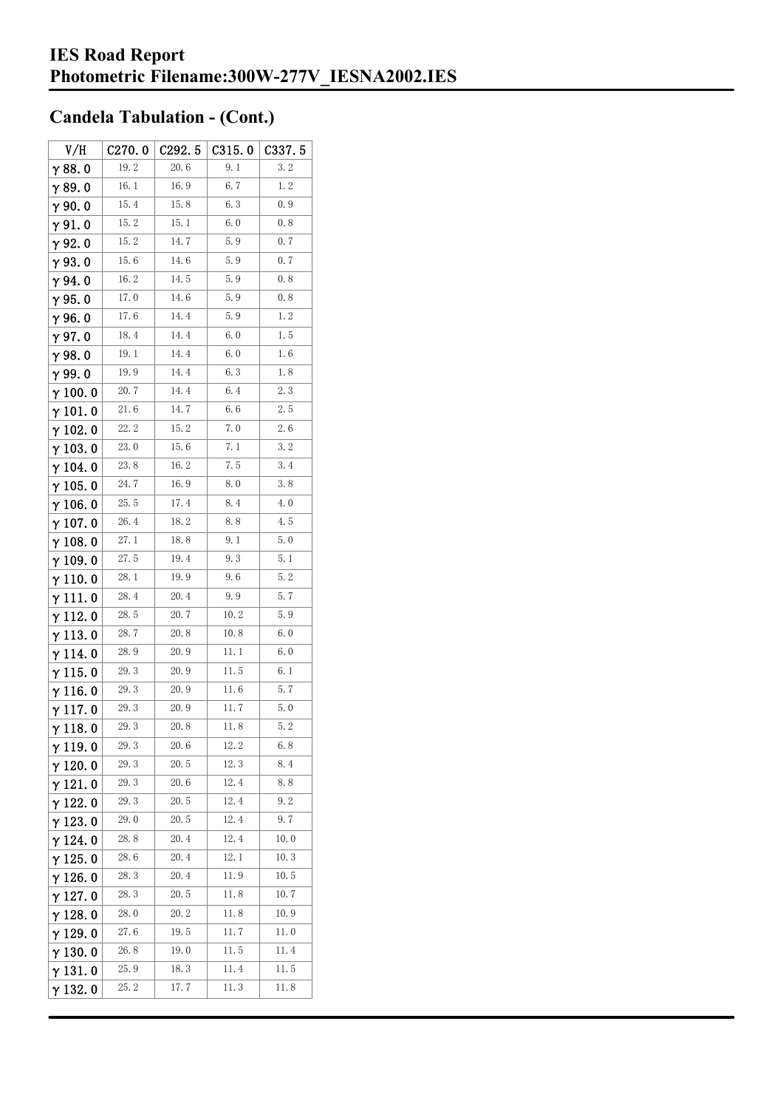| V/H             | C270.0 | C292.5      | C315.0 | C337.5 |
|-----------------|--------|-------------|--------|--------|
| $\gamma$ 88.0   | 19.2   | 20.6        | 9.1    | 3.2    |
| $\gamma$ 89.0   | 16.1   | 16.9        | 6.7    | 1.2    |
| $\gamma$ 90.0   | 15.4   | 15.8        | 6.3    | 0.9    |
| $\gamma$ 91.0   | 15.2   | 15.1        | 6.0    | 0.8    |
| $\gamma$ 92.0   | 15.2   | 14.7        | 5.9    | 0.7    |
| $\gamma$ 93. O  | 15.6   | 14. 6       | 5.9    | 0.7    |
| γ94.0           | 16.2   | 14.5        | 5.9    | 0.8    |
| $\gamma$ 95.0   | 17.0   | 14. 6       | 5.9    | 0.8    |
| $\gamma$ 96.0   | 17.6   | 14.4        | 5.9    | 1.2    |
| γ97.0           | 18.4   | 14.4        | 6.0    | 1.5    |
| $\gamma$ 98.0   | 19.1   | 14.4        | 6.0    | 1.6    |
| $\gamma$ 99.0   | 19.9   | 14.4        | 6.3    | 1.8    |
| $\gamma$ 100.0  | 20.7   | 14.4        | 6.4    | 2.3    |
| $\gamma$ 101.0  | 21.6   | 14. 7       | 6.6    | 2.5    |
| $\gamma$ 102.0  | 22.2   | 15.2        | 7.0    | 2.6    |
| $\gamma$ 103.0  | 23.0   | 15.6        | 7.1    | 3.2    |
| γ 104. 0        | 23.8   | 16.2        | 7.5    | 3.4    |
| $\gamma$ 105.0  | 24.7   | 16.9        | 8.0    | 3.8    |
| $\gamma$ 106.0  | 25.5   | 17.4        | 8.4    | 4.0    |
| $\gamma$ 107. 0 | 26.4   | 18.2        | 8.8    | 4.5    |
| $\gamma$ 108. 0 | 27.1   | 18.8        | 9.1    | 5.0    |
| $\gamma$ 109.0  | 27.5   | 19.4        | 9.3    | 5.1    |
| $\gamma$ 110. 0 | 28.1   | 19.9        | 9.6    | 5.2    |
| γ111.0          | 28.4   | 20.4        | 9. 9   | 5.7    |
| $\gamma$ 112. 0 | 28.5   | 20.7        | 10.2   | 5.9    |
| $\gamma$ 113.0  | 28.7   | 20.8        | 10.8   | 6.0    |
| $\gamma$ 114. 0 | 28.9   | 20.9        | 11.1   | 6.0    |
| $\gamma$ 115.0  | 29.3   | 20.9        | 11.5   | 6.1    |
| $\gamma$ 116. 0 | 29.3   | 20.9        | 11.6   | 5.7    |
| $\gamma$ 117.0  | 29.3   | 20.9        | 11.7   | 5.0    |
| $\gamma$ 118. 0 | 29.3   | 20.8        | 11.8   | 5.2    |
| γ119.0          | 29.3   | 20.6        | 12.2   | 6.8    |
| $\gamma$ 120.0  | 29.3   | 20.5        | 12.3   | 8.4    |
| $\gamma$ 121.0  | 29.3   | 20.6        | 12.4   | 8.8    |
| $\gamma$ 122.0  | 29.3   | 20.5        | 12.4   | 9.2    |
| $\gamma$ 123.0  | 29.0   | 20.5        | 12.4   | 9.7    |
| $\gamma$ 124.0  | 28.8   | 20.4        | 12.4   | 10.0   |
| $\gamma$ 125.0  | 28.6   | 20.4        | 12.1   | 10.3   |
| $\gamma$ 126.0  | 28.3   | 20.4        | 11.9   | 10.5   |
| $\gamma$ 127. 0 | 28.3   | 20.5        | 11.8   | 10.7   |
| $\gamma$ 128.0  | 28.0   | <b>20.2</b> | 11.8   | 10.9   |
| $\gamma$ 129.0  | 27.6   | 19.5        | 11.7   | 11.0   |
| $\gamma$ 130.0  | 26.8   | 19.0        | 11.5   | 11.4   |
| $\gamma$ 131.0  | 25.9   | 18.3        | 11.4   | 11.5   |
| $\gamma$ 132. 0 | 25.2   | 17.7        | 11.3   | 11.8   |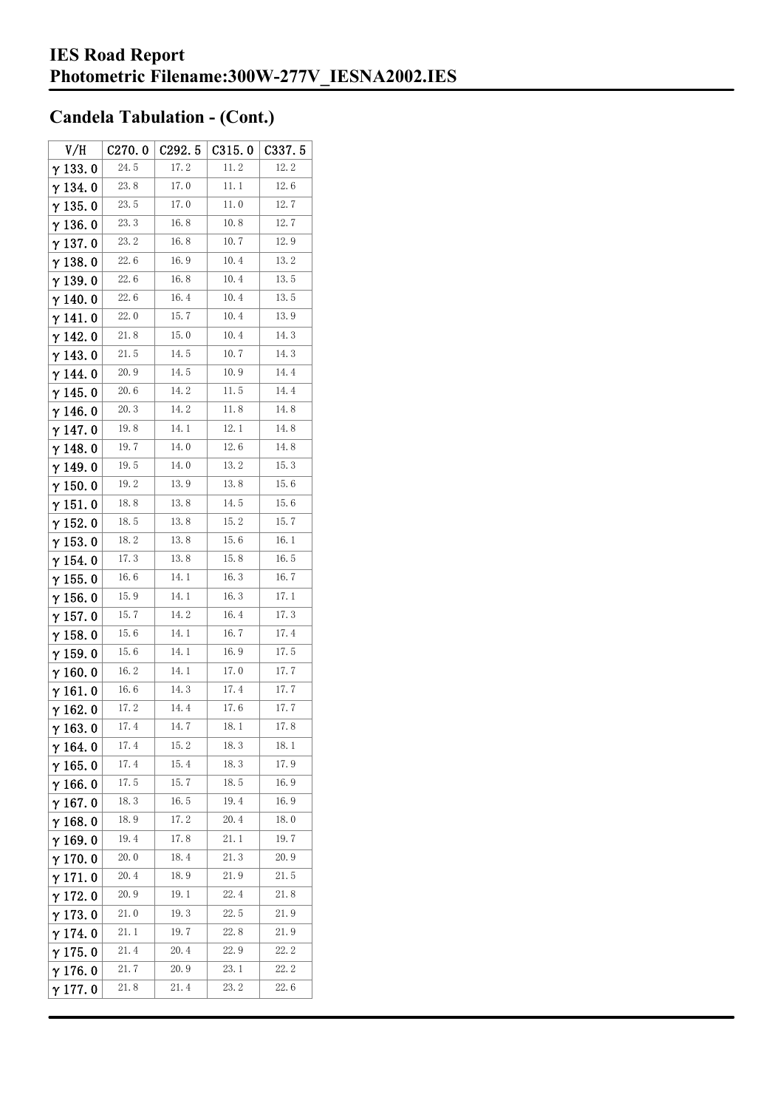| V/H             | C270.0   | C <sub>292.5</sub> | C315.0 | C337. 5 |
|-----------------|----------|--------------------|--------|---------|
| $\gamma$ 133.0  | 24.5     | 17.2               | 11.2   | 12.2    |
| $\gamma$ 134.0  | 23.8     | 17.0               | 11. 1  | 12.6    |
| $\gamma$ 135.0  | 23.5     | 17.0               | 11.0   | 12.7    |
| $\gamma$ 136.0  | 23.3     | 16.8               | 10.8   | 12.7    |
| $\gamma$ 137.0  | 23.2     | 16.8               | 10.7   | 12.9    |
| $\gamma$ 138. 0 | 22.6     | 16.9               | 10.4   | 13.2    |
| $\gamma$ 139.0  | 22.6     | 16.8               | 10.4   | 13.5    |
| $\gamma$ 140.0  | 22.6     | 16.4               | 10.4   | 13.5    |
| $\gamma$ 141.0  | 22.0     | 15.7               | 10.4   | 13.9    |
| $\gamma$ 142.0  | 21.8     | 15.0               | 10.4   | 14.3    |
| $\gamma$ 143.0  | 21.5     | 14.5               | 10.7   | 14.3    |
| $\gamma$ 144. 0 | 20.9     | 14.5               | 10.9   | 14.4    |
| $\gamma$ 145. 0 | $20.6\,$ | 14.2               | 11.5   | 14.4    |
| $\gamma$ 146.0  | 20.3     | 14. 2              | 11.8   | 14.8    |
| γ147.0          | 19.8     | 14.1               | 12.1   | 14.8    |
| $\gamma$ 148.0  | 19.7     | 14.0               | 12.6   | 14.8    |
| $\gamma$ 149.0  | 19.5     | 14.0               | 13.2   | 15.3    |
| $\gamma$ 150. 0 | 19.2     | 13.9               | 13.8   | 15.6    |
| $\gamma$ 151.0  | 18.8     | 13.8               | 14.5   | 15.6    |
| $\gamma$ 152.0  | 18.5     | 13.8               | 15.2   | 15.7    |
| $\gamma$ 153.0  | 18.2     | 13.8               | 15.6   | 16.1    |
| $\gamma$ 154. 0 | 17.3     | 13.8               | 15.8   | 16.5    |
| $\gamma$ 155. 0 | 16.6     | 14.1               | 16.3   | 16.7    |
| $\gamma$ 156. 0 | 15.9     | 14.1               | 16.3   | 17.1    |
| $\gamma$ 157.0  | 15.7     | 14. 2              | 16.4   | 17.3    |
| $\gamma$ 158.0  | 15.6     | 14.1               | 16.7   | 17.4    |
| $\gamma$ 159.0  | 15.6     | 14.1               | 16.9   | 17.5    |
| $\gamma$ 160.0  | 16.2     | 14.1               | 17.0   | 17.7    |
| $\gamma$ 161.0  | 16.6     | 14.3               | 17.4   | 17.7    |
| $\gamma$ 162.0  | 17.2     | 14.4               | 17.6   | 17.7    |
| $\gamma$ 163.0  | 17.4     | 14.7               | 18.1   | 17.8    |
| $\gamma$ 164.0  | 17.4     | 15.2               | 18.3   | 18.1    |
| $\gamma$ 165.0  | 17.4     | 15.4               | 18.3   | 17.9    |
| $\gamma$ 166.0  | 17.5     | 15.7               | 18.5   | 16.9    |
| $\gamma$ 167.0  | 18.3     | 16.5               | 19.4   | 16.9    |
| $\gamma$ 168.0  | 18.9     | 17.2               | 20.4   | 18.0    |
| $\gamma$ 169.0  | 19.4     | 17.8               | 21.1   | 19.7    |
| $\gamma$ 170.0  | 20.0     | 18.4               | 21.3   | 20.9    |
| $\gamma$ 171.0  | 20.4     | 18.9               | 21.9   | 21.5    |
| $\gamma$ 172.0  | 20.9     | 19.1               | 22.4   | 21.8    |
| $\gamma$ 173.0  | 21.0     | 19.3               | 22.5   | 21.9    |
| $\gamma$ 174.0  | 21.1     | 19.7               | 22.8   | 21.9    |
| $\gamma$ 175.0  | 21.4     | 20.4               | 22. 9  | 22.2    |
| $\gamma$ 176.0  | 21.7     | 20. 9              | 23.1   | 22.2    |
| $\gamma$ 177. 0 | 21.8     | 21.4               | 23.2   | 22.6    |